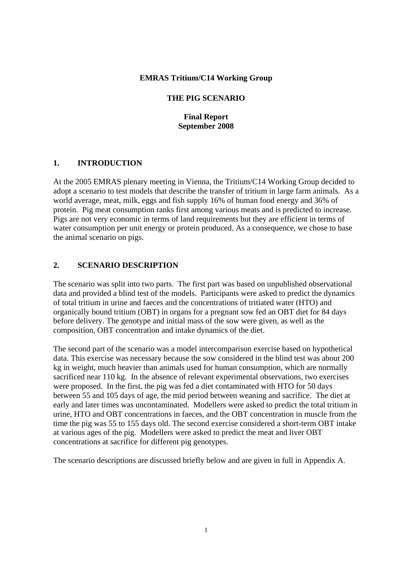### **EMRAS Tritium/C14 Working Group**

### **THE PIG SCENARIO**

**Final Report September 2008** 

### **1. INTRODUCTION**

At the 2005 EMRAS plenary meeting in Vienna, the Tritium/C14 Working Group decided to adopt a scenario to test models that describe the transfer of tritium in large farm animals. As a world average, meat, milk, eggs and fish supply 16% of human food energy and 36% of protein. Pig meat consumption ranks first among various meats and is predicted to increase. Pigs are not very economic in terms of land requirements but they are efficient in terms of water consumption per unit energy or protein produced. As a consequence, we chose to base the animal scenario on pigs.

### **2. SCENARIO DESCRIPTION**

The scenario was split into two parts. The first part was based on unpublished observational data and provided a blind test of the models. Participants were asked to predict the dynamics of total tritium in urine and faeces and the concentrations of tritiated water (HTO) and organically bound tritium (OBT) in organs for a pregnant sow fed an OBT diet for 84 days before delivery. The genotype and initial mass of the sow were given, as well as the composition, OBT concentration and intake dynamics of the diet.

The second part of the scenario was a model intercomparison exercise based on hypothetical data. This exercise was necessary because the sow considered in the blind test was about 200 kg in weight, much heavier than animals used for human consumption, which are normally sacrificed near 110 kg. In the absence of relevant experimental observations, two exercises were proposed. In the first, the pig was fed a diet contaminated with HTO for 50 days between 55 and 105 days of age, the mid period between weaning and sacrifice. The diet at early and later times was uncontaminated. Modellers were asked to predict the total tritium in urine, HTO and OBT concentrations in faeces, and the OBT concentration in muscle from the time the pig was 55 to 155 days old. The second exercise considered a short-term OBT intake at various ages of the pig. Modellers were asked to predict the meat and liver OBT concentrations at sacrifice for different pig genotypes.

The scenario descriptions are discussed briefly below and are given in full in Appendix A.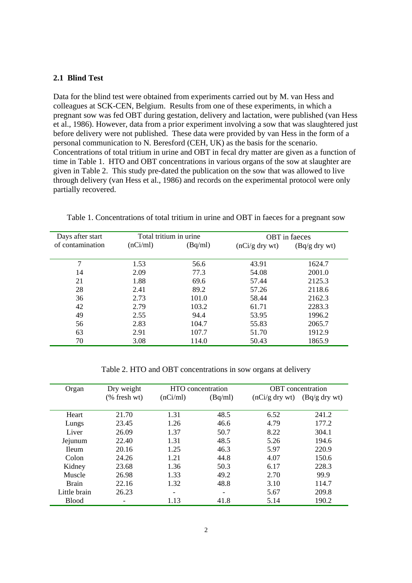### **2.1 Blind Test**

Data for the blind test were obtained from experiments carried out by M. van Hess and colleagues at SCK-CEN, Belgium. Results from one of these experiments, in which a pregnant sow was fed OBT during gestation, delivery and lactation, were published (van Hess et al., 1986). However, data from a prior experiment involving a sow that was slaughtered just before delivery were not published. These data were provided by van Hess in the form of a personal communication to N. Beresford (CEH, UK) as the basis for the scenario. Concentrations of total tritium in urine and OBT in fecal dry matter are given as a function of time in Table 1. HTO and OBT concentrations in various organs of the sow at slaughter are given in Table 2. This study pre-dated the publication on the sow that was allowed to live through delivery (van Hess et al., 1986) and records on the experimental protocol were only partially recovered.

| Days after start | Total tritium in urine |         |                  | OBT in faeces   |
|------------------|------------------------|---------|------------------|-----------------|
| of contamination | (nCi/ml)               | (Bq/ml) | $(nCi/g$ dry wt) | $(Bq/g$ dry wt) |
| 7                | 1.53                   | 56.6    | 43.91            | 1624.7          |
| 14               | 2.09                   | 77.3    | 54.08            | 2001.0          |
| 21               | 1.88                   | 69.6    | 57.44            | 2125.3          |
| 28               | 2.41                   | 89.2    | 57.26            | 2118.6          |
| 36               | 2.73                   | 101.0   | 58.44            | 2162.3          |
| 42               | 2.79                   | 103.2   | 61.71            | 2283.3          |
| 49               | 2.55                   | 94.4    | 53.95            | 1996.2          |
| 56               | 2.83                   | 104.7   | 55.83            | 2065.7          |
| 63               | 2.91                   | 107.7   | 51.70            | 1912.9          |
| 70               | 3.08                   | 114.0   | 50.43            | 1865.9          |

Table 1. Concentrations of total tritium in urine and OBT in faeces for a pregnant sow

Table 2. HTO and OBT concentrations in sow organs at delivery

| Organ         | Dry weight   |          | HTO concentration |                  | <b>OBT</b> concentration |
|---------------|--------------|----------|-------------------|------------------|--------------------------|
|               | (% fresh wt) | (nCi/ml) | (Bq/ml)           | $(nCi/g$ dry wt) | $(Bq/g$ dry wt)          |
|               |              |          |                   |                  |                          |
| Heart         | 21.70        | 1.31     | 48.5              | 6.52             | 241.2                    |
| Lungs         | 23.45        | 1.26     | 46.6              | 4.79             | 177.2                    |
| Liver         | 26.09        | 1.37     | 50.7              | 8.22             | 304.1                    |
| Jejunum       | 22.40        | 1.31     | 48.5              | 5.26             | 194.6                    |
| <b>I</b> leum | 20.16        | 1.25     | 46.3              | 5.97             | 220.9                    |
| Colon         | 24.26        | 1.21     | 44.8              | 4.07             | 150.6                    |
| Kidney        | 23.68        | 1.36     | 50.3              | 6.17             | 228.3                    |
| Muscle        | 26.98        | 1.33     | 49.2              | 2.70             | 99.9                     |
| <b>Brain</b>  | 22.16        | 1.32     | 48.8              | 3.10             | 114.7                    |
| Little brain  | 26.23        |          |                   | 5.67             | 209.8                    |
| <b>Blood</b>  |              | 1.13     | 41.8              | 5.14             | 190.2                    |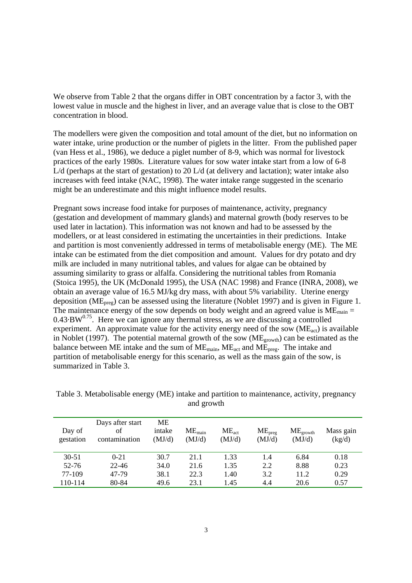We observe from Table 2 that the organs differ in OBT concentration by a factor 3, with the lowest value in muscle and the highest in liver, and an average value that is close to the OBT concentration in blood.

The modellers were given the composition and total amount of the diet, but no information on water intake, urine production or the number of piglets in the litter. From the published paper (van Hess et al., 1986), we deduce a piglet number of 8-9, which was normal for livestock practices of the early 1980s. Literature values for sow water intake start from a low of 6-8 L/d (perhaps at the start of gestation) to 20 L/d (at delivery and lactation); water intake also increases with feed intake (NAC, 1998). The water intake range suggested in the scenario might be an underestimate and this might influence model results.

Pregnant sows increase food intake for purposes of maintenance, activity, pregnancy (gestation and development of mammary glands) and maternal growth (body reserves to be used later in lactation). This information was not known and had to be assessed by the modellers, or at least considered in estimating the uncertainties in their predictions. Intake and partition is most conveniently addressed in terms of metabolisable energy (ME). The ME intake can be estimated from the diet composition and amount. Values for dry potato and dry milk are included in many nutritional tables, and values for algae can be obtained by assuming similarity to grass or alfalfa. Considering the nutritional tables from Romania (Stoica 1995), the UK (McDonald 1995), the USA (NAC 1998) and France (INRA, 2008), we obtain an average value of 16.5 MJ/kg dry mass, with about 5% variability. Uterine energy deposition (ME<sub>preg</sub>) can be assessed using the literature (Noblet 1997) and is given in Figure 1. The maintenance energy of the sow depends on body weight and an agreed value is  $ME_{\text{main}} =$  $0.43·BW<sup>0.75</sup>$ . Here we can ignore any thermal stress, as we are discussing a controlled experiment. An approximate value for the activity energy need of the sow  $(ME_{act})$  is available in Noblet (1997). The potential maternal growth of the sow ( $ME_{growth}$ ) can be estimated as the balance between ME intake and the sum of  $ME_{main}$ ,  $ME_{act}$  and  $ME_{preg}$ . The intake and partition of metabolisable energy for this scenario, as well as the mass gain of the sow, is summarized in Table 3.

| Day of<br>gestation | Days after start<br>of<br>contamination | МE<br>intake<br>(MJ/d) | $ME_{\text{main}}$<br>(MJ/d) | $ME_{act}$<br>(MJ/d) | ME <sub>preg</sub><br>(MJ/d) | $ME_{growth}$<br>(MJ/d) | Mass gain<br>(kg/d) |
|---------------------|-----------------------------------------|------------------------|------------------------------|----------------------|------------------------------|-------------------------|---------------------|
| $30 - 51$           | $0 - 21$                                | 30.7                   | 21.1                         | 1.33                 | 1.4                          | 6.84                    | 0.18                |
| 52-76               | $22 - 46$                               | 34.0                   | 21.6                         | 1.35                 | 2.2                          | 8.88                    | 0.23                |
| 77-109              | 47-79                                   | 38.1                   | 22.3                         | 1.40                 | 3.2                          | 11.2                    | 0.29                |
| 110-114             | 80-84                                   | 49.6                   | 23.1                         | 1.45                 | 4.4                          | 20.6                    | 0.57                |

Table 3. Metabolisable energy (ME) intake and partition to maintenance, activity, pregnancy and growth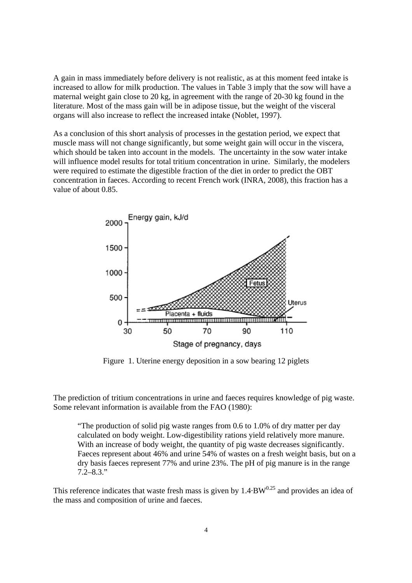A gain in mass immediately before delivery is not realistic, as at this moment feed intake is increased to allow for milk production. The values in Table 3 imply that the sow will have a maternal weight gain close to 20 kg, in agreement with the range of 20-30 kg found in the literature. Most of the mass gain will be in adipose tissue, but the weight of the visceral organs will also increase to reflect the increased intake (Noblet, 1997).

As a conclusion of this short analysis of processes in the gestation period, we expect that muscle mass will not change significantly, but some weight gain will occur in the viscera, which should be taken into account in the models. The uncertainty in the sow water intake will influence model results for total tritium concentration in urine. Similarly, the modelers were required to estimate the digestible fraction of the diet in order to predict the OBT concentration in faeces. According to recent French work (INRA, 2008), this fraction has a value of about 0.85.



Figure 1. Uterine energy deposition in a sow bearing 12 piglets

The prediction of tritium concentrations in urine and faeces requires knowledge of pig waste. Some relevant information is available from the FAO (1980):

"The production of solid pig waste ranges from 0.6 to 1.0% of dry matter per day calculated on body weight. Low-digestibility rations yield relatively more manure. With an increase of body weight, the quantity of pig waste decreases significantly. Faeces represent about 46% and urine 54% of wastes on a fresh weight basis, but on a dry basis faeces represent 77% and urine 23%. The pH of pig manure is in the range  $7.2 - 8.3$ ."

This reference indicates that waste fresh mass is given by  $1.4·BW^{0.25}$  and provides an idea of the mass and composition of urine and faeces.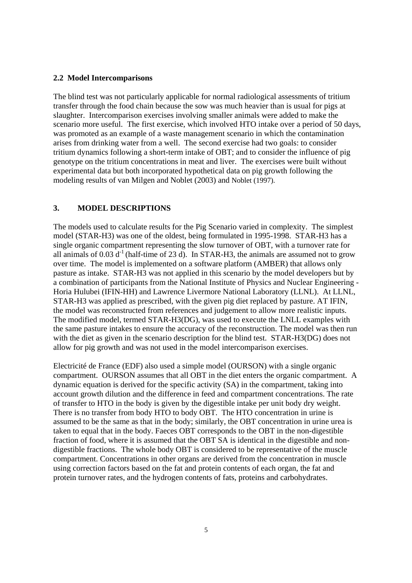### **2.2 Model Intercomparisons**

The blind test was not particularly applicable for normal radiological assessments of tritium transfer through the food chain because the sow was much heavier than is usual for pigs at slaughter. Intercomparison exercises involving smaller animals were added to make the scenario more useful. The first exercise, which involved HTO intake over a period of 50 days, was promoted as an example of a waste management scenario in which the contamination arises from drinking water from a well. The second exercise had two goals: to consider tritium dynamics following a short-term intake of OBT; and to consider the influence of pig genotype on the tritium concentrations in meat and liver. The exercises were built without experimental data but both incorporated hypothetical data on pig growth following the modeling results of van Milgen and Noblet (2003) and Noblet (1997).

### **3. MODEL DESCRIPTIONS**

The models used to calculate results for the Pig Scenario varied in complexity. The simplest model (STAR-H3) was one of the oldest, being formulated in 1995-1998. STAR-H3 has a single organic compartment representing the slow turnover of OBT, with a turnover rate for all animals of  $0.03 \text{ d}^{-1}$  (half-time of 23 d). In STAR-H3, the animals are assumed not to grow over time. The model is implemented on a software platform (AMBER) that allows only pasture as intake. STAR-H3 was not applied in this scenario by the model developers but by a combination of participants from the National Institute of Physics and Nuclear Engineering - Horia Hulubei (IFIN-HH) and Lawrence Livermore National Laboratory (LLNL). At LLNL, STAR-H3 was applied as prescribed, with the given pig diet replaced by pasture. AT IFIN, the model was reconstructed from references and judgement to allow more realistic inputs. The modified model, termed STAR-H3(DG), was used to execute the LNLL examples with the same pasture intakes to ensure the accuracy of the reconstruction. The model was then run with the diet as given in the scenario description for the blind test. STAR-H3(DG) does not allow for pig growth and was not used in the model intercomparison exercises.

Electricité de France (EDF) also used a simple model (OURSON) with a single organic compartment. OURSON assumes that all OBT in the diet enters the organic compartment. A dynamic equation is derived for the specific activity (SA) in the compartment, taking into account growth dilution and the difference in feed and compartment concentrations. The rate of transfer to HTO in the body is given by the digestible intake per unit body dry weight. There is no transfer from body HTO to body OBT. The HTO concentration in urine is assumed to be the same as that in the body; similarly, the OBT concentration in urine urea is taken to equal that in the body. Faeces OBT corresponds to the OBT in the non-digestible fraction of food, where it is assumed that the OBT SA is identical in the digestible and nondigestible fractions. The whole body OBT is considered to be representative of the muscle compartment. Concentrations in other organs are derived from the concentration in muscle using correction factors based on the fat and protein contents of each organ, the fat and protein turnover rates, and the hydrogen contents of fats, proteins and carbohydrates.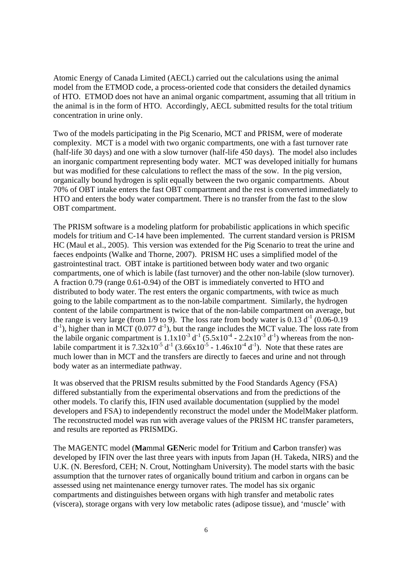Atomic Energy of Canada Limited (AECL) carried out the calculations using the animal model from the ETMOD code, a process-oriented code that considers the detailed dynamics of HTO. ETMOD does not have an animal organic compartment, assuming that all tritium in the animal is in the form of HTO. Accordingly, AECL submitted results for the total tritium concentration in urine only.

Two of the models participating in the Pig Scenario, MCT and PRISM, were of moderate complexity. MCT is a model with two organic compartments, one with a fast turnover rate (half-life 30 days) and one with a slow turnover (half-life 450 days). The model also includes an inorganic compartment representing body water. MCT was developed initially for humans but was modified for these calculations to reflect the mass of the sow. In the pig version, organically bound hydrogen is split equally between the two organic compartments. About 70% of OBT intake enters the fast OBT compartment and the rest is converted immediately to HTO and enters the body water compartment. There is no transfer from the fast to the slow OBT compartment.

The PRISM software is a modeling platform for probabilistic applications in which specific models for tritium and C-14 have been implemented. The current standard version is PRISM HC (Maul et al., 2005). This version was extended for the Pig Scenario to treat the urine and faeces endpoints (Walke and Thorne, 2007). PRISM HC uses a simplified model of the gastrointestinal tract. OBT intake is partitioned between body water and two organic compartments, one of which is labile (fast turnover) and the other non-labile (slow turnover). A fraction 0.79 (range 0.61-0.94) of the OBT is immediately converted to HTO and distributed to body water. The rest enters the organic compartments, with twice as much going to the labile compartment as to the non-labile compartment. Similarly, the hydrogen content of the labile compartment is twice that of the non-labile compartment on average, but the range is very large (from  $1/9$  to 9). The loss rate from body water is 0.13 d<sup>-1</sup> (0.06-0.19)  $d^{-1}$ ), higher than in MCT (0.077  $d^{-1}$ ), but the range includes the MCT value. The loss rate from the labile organic compartment is  $1.1x10^{-3} d^{-1} (5.5x10^{-4} - 2.2x10^{-3} d^{-1})$  whereas from the nonlabile compartment it is  $7.32 \times 10^{-5}$  d<sup>-1</sup> (3.66x10<sup>-5</sup> - 1.46x10<sup>-4</sup> d<sup>-1</sup>). Note that these rates are much lower than in MCT and the transfers are directly to faeces and urine and not through body water as an intermediate pathway.

It was observed that the PRISM results submitted by the Food Standards Agency (FSA) differed substantially from the experimental observations and from the predictions of the other models. To clarify this, IFIN used available documentation (supplied by the model developers and FSA) to independently reconstruct the model under the ModelMaker platform. The reconstructed model was run with average values of the PRISM HC transfer parameters, and results are reported as PRISMDG.

The MAGENTC model (**Ma**mmal **GEN**eric model for **T**ritium and **C**arbon transfer) was developed by IFIN over the last three years with inputs from Japan (H. Takeda, NIRS) and the U.K. (N. Beresford, CEH; N. Crout, Nottingham University). The model starts with the basic assumption that the turnover rates of organically bound tritium and carbon in organs can be assessed using net maintenance energy turnover rates. The model has six organic compartments and distinguishes between organs with high transfer and metabolic rates (viscera), storage organs with very low metabolic rates (adipose tissue), and 'muscle' with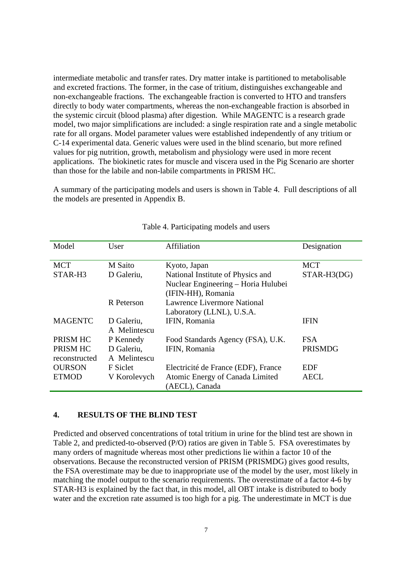intermediate metabolic and transfer rates. Dry matter intake is partitioned to metabolisable and excreted fractions. The former, in the case of tritium, distinguishes exchangeable and non-exchangeable fractions. The exchangeable fraction is converted to HTO and transfers directly to body water compartments, whereas the non-exchangeable fraction is absorbed in the systemic circuit (blood plasma) after digestion. While MAGENTC is a research grade model, two major simplifications are included: a single respiration rate and a single metabolic rate for all organs. Model parameter values were established independently of any tritium or C-14 experimental data. Generic values were used in the blind scenario, but more refined values for pig nutrition, growth, metabolism and physiology were used in more recent applications. The biokinetic rates for muscle and viscera used in the Pig Scenario are shorter than those for the labile and non-labile compartments in PRISM HC.

A summary of the participating models and users is shown in Table 4. Full descriptions of all the models are presented in Appendix B.

| Model          | User         | Affiliation                         | Designation    |
|----------------|--------------|-------------------------------------|----------------|
|                |              |                                     |                |
| <b>MCT</b>     | M Saito      | Kyoto, Japan                        | <b>MCT</b>     |
| STAR-H3        | D Galeriu,   | National Institute of Physics and   | $STAR-H3(DG)$  |
|                |              | Nuclear Engineering - Horia Hulubei |                |
|                |              | (IFIN-HH), Romania                  |                |
|                | R Peterson   | Lawrence Livermore National         |                |
|                |              | Laboratory (LLNL), U.S.A.           |                |
| <b>MAGENTC</b> | D Galeriu,   | IFIN, Romania                       | IFIN           |
|                | A Melintescu |                                     |                |
| PRISM HC       | P Kennedy    | Food Standards Agency (FSA), U.K.   | <b>FSA</b>     |
| PRISM HC       | D Galeriu,   | IFIN, Romania                       | <b>PRISMDG</b> |
| reconstructed  | A Melintescu |                                     |                |
| <b>OURSON</b>  | F Siclet     | Electricité de France (EDF), France | EDF            |
| <b>ETMOD</b>   | V Korolevych | Atomic Energy of Canada Limited     | <b>AECL</b>    |
|                |              | (AECL), Canada                      |                |

#### Table 4. Participating models and users

### **4. RESULTS OF THE BLIND TEST**

Predicted and observed concentrations of total tritium in urine for the blind test are shown in Table 2, and predicted-to-observed (P/O) ratios are given in Table 5. FSA overestimates by many orders of magnitude whereas most other predictions lie within a factor 10 of the observations. Because the reconstructed version of PRISM (PRISMDG) gives good results, the FSA overestimate may be due to inappropriate use of the model by the user, most likely in matching the model output to the scenario requirements. The overestimate of a factor 4-6 by STAR-H3 is explained by the fact that, in this model, all OBT intake is distributed to body water and the excretion rate assumed is too high for a pig. The underestimate in MCT is due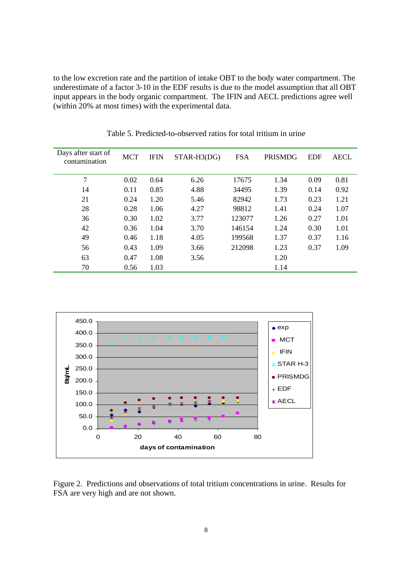to the low excretion rate and the partition of intake OBT to the body water compartment. The underestimate of a factor 3-10 in the EDF results is due to the model assumption that all OBT input appears in the body organic compartment. The IFIN and AECL predictions agree well (within 20% at most times) with the experimental data.

| Days after start of<br>contamination | <b>MCT</b> | <b>IFIN</b> | $STAR-H3(DG)$ | <b>FSA</b> | PRISMDG | <b>EDF</b> | <b>AECL</b> |
|--------------------------------------|------------|-------------|---------------|------------|---------|------------|-------------|
| 7                                    | 0.02       | 0.64        | 6.26          | 17675      | 1.34    | 0.09       | 0.81        |
| 14                                   | 0.11       | 0.85        | 4.88          | 34495      | 1.39    | 0.14       | 0.92        |
| 21                                   | 0.24       | 1.20        | 5.46          | 82942      | 1.73    | 0.23       | 1.21        |
| 28                                   | 0.28       | 1.06        | 4.27          | 98812      | 1.41    | 0.24       | 1.07        |
| 36                                   | 0.30       | 1.02        | 3.77          | 123077     | 1.26    | 0.27       | 1.01        |
| 42                                   | 0.36       | 1.04        | 3.70          | 146154     | 1.24    | 0.30       | 1.01        |
| 49                                   | 0.46       | 1.18        | 4.05          | 199568     | 1.37    | 0.37       | 1.16        |
| 56                                   | 0.43       | 1.09        | 3.66          | 212098     | 1.23    | 0.37       | 1.09        |
| 63                                   | 0.47       | 1.08        | 3.56          |            | 1.20    |            |             |
| 70                                   | 0.56       | 1.03        |               |            | 1.14    |            |             |

Table 5. Predicted-to-observed ratios for total tritium in urine



Figure 2. Predictions and observations of total tritium concentrations in urine. Results for FSA are very high and are not shown.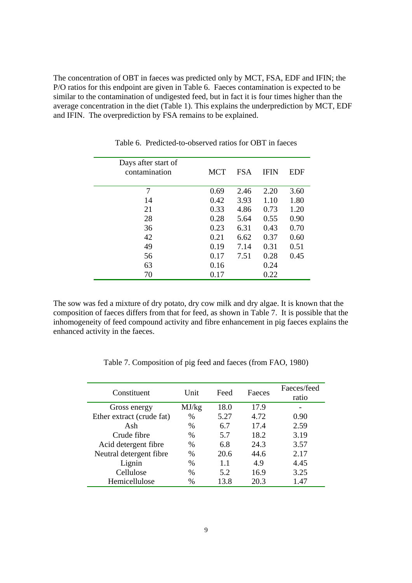The concentration of OBT in faeces was predicted only by MCT, FSA, EDF and IFIN; the P/O ratios for this endpoint are given in Table 6. Faeces contamination is expected to be similar to the contamination of undigested feed, but in fact it is four times higher than the average concentration in the diet (Table 1). This explains the underprediction by MCT, EDF and IFIN. The overprediction by FSA remains to be explained.

| Days after start of<br>contamination | <b>MCT</b> | <b>FSA</b> | <b>IFIN</b> | EDF  |
|--------------------------------------|------------|------------|-------------|------|
| 7                                    | 0.69       | 2.46       | 2.20        | 3.60 |
| 14                                   | 0.42       | 3.93       | 1.10        | 1.80 |
| 21                                   | 0.33       | 4.86       | 0.73        | 1.20 |
| 28                                   | 0.28       | 5.64       | 0.55        | 0.90 |
| 36                                   | 0.23       | 6.31       | 0.43        | 0.70 |
| 42                                   | 0.21       | 6.62       | 0.37        | 0.60 |
| 49                                   | 0.19       | 7.14       | 0.31        | 0.51 |
| 56                                   | 0.17       | 7.51       | 0.28        | 0.45 |
| 63                                   | 0.16       |            | 0.24        |      |
| 70                                   | 0.17       |            | 0.22        |      |

Table 6. Predicted-to-observed ratios for OBT in faeces

The sow was fed a mixture of dry potato, dry cow milk and dry algae. It is known that the composition of faeces differs from that for feed, as shown in Table 7. It is possible that the inhomogeneity of feed compound activity and fibre enhancement in pig faeces explains the enhanced activity in the faeces.

| Constituent               | Unit  | Feed | Faeces | Faeces/feed<br>ratio |
|---------------------------|-------|------|--------|----------------------|
| Gross energy              | MJ/kg | 18.0 | 17.9   |                      |
| Ether extract (crude fat) | $\%$  | 5.27 | 4.72   | 0.90                 |
| Ash                       | $\%$  | 6.7  | 17.4   | 2.59                 |
| Crude fibre               | $\%$  | 5.7  | 18.2   | 3.19                 |
| Acid detergent fibre      | $\%$  | 6.8  | 24.3   | 3.57                 |
| Neutral detergent fibre   | $\%$  | 20.6 | 44.6   | 2.17                 |
| Lignin                    | $\%$  | 1.1  | 4.9    | 4.45                 |
| Cellulose                 | $\%$  | 5.2  | 16.9   | 3.25                 |
| Hemicellulose             | $\%$  | 13.8 | 20.3   | 1.47                 |

Table 7. Composition of pig feed and faeces (from FAO, 1980)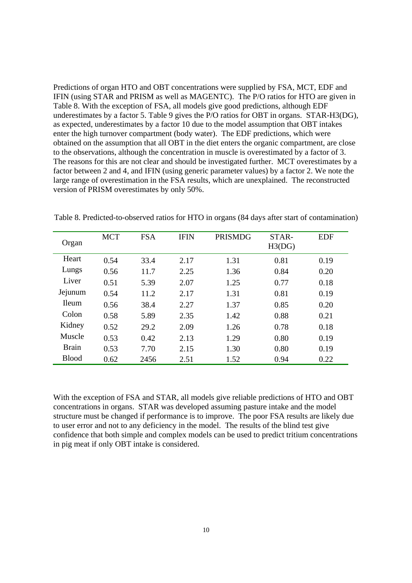Predictions of organ HTO and OBT concentrations were supplied by FSA, MCT, EDF and IFIN (using STAR and PRISM as well as MAGENTC). The P/O ratios for HTO are given in Table 8. With the exception of FSA, all models give good predictions, although EDF underestimates by a factor 5. Table 9 gives the P/O ratios for OBT in organs. STAR-H3(DG), as expected, underestimates by a factor 10 due to the model assumption that OBT intakes enter the high turnover compartment (body water). The EDF predictions, which were obtained on the assumption that all OBT in the diet enters the organic compartment, are close to the observations, although the concentration in muscle is overestimated by a factor of 3. The reasons for this are not clear and should be investigated further. MCT overestimates by a factor between 2 and 4, and IFIN (using generic parameter values) by a factor 2. We note the large range of overestimation in the FSA results, which are unexplained. The reconstructed version of PRISM overestimates by only 50%.

| Organ        | <b>MCT</b> | <b>FSA</b> | <b>IFIN</b> | <b>PRISMDG</b> | STAR-<br>H3(DG) | <b>EDF</b> |
|--------------|------------|------------|-------------|----------------|-----------------|------------|
| Heart        | 0.54       | 33.4       | 2.17        | 1.31           | 0.81            | 0.19       |
| Lungs        | 0.56       | 11.7       | 2.25        | 1.36           | 0.84            | 0.20       |
| Liver        | 0.51       | 5.39       | 2.07        | 1.25           | 0.77            | 0.18       |
| Jejunum      | 0.54       | 11.2       | 2.17        | 1.31           | 0.81            | 0.19       |
| <b>Ileum</b> | 0.56       | 38.4       | 2.27        | 1.37           | 0.85            | 0.20       |
| Colon        | 0.58       | 5.89       | 2.35        | 1.42           | 0.88            | 0.21       |
| Kidney       | 0.52       | 29.2       | 2.09        | 1.26           | 0.78            | 0.18       |
| Muscle       | 0.53       | 0.42       | 2.13        | 1.29           | 0.80            | 0.19       |
| <b>Brain</b> | 0.53       | 7.70       | 2.15        | 1.30           | 0.80            | 0.19       |
| <b>Blood</b> | 0.62       | 2456       | 2.51        | 1.52           | 0.94            | 0.22       |

Table 8. Predicted-to-observed ratios for HTO in organs (84 days after start of contamination)

With the exception of FSA and STAR, all models give reliable predictions of HTO and OBT concentrations in organs. STAR was developed assuming pasture intake and the model structure must be changed if performance is to improve. The poor FSA results are likely due to user error and not to any deficiency in the model. The results of the blind test give confidence that both simple and complex models can be used to predict tritium concentrations in pig meat if only OBT intake is considered.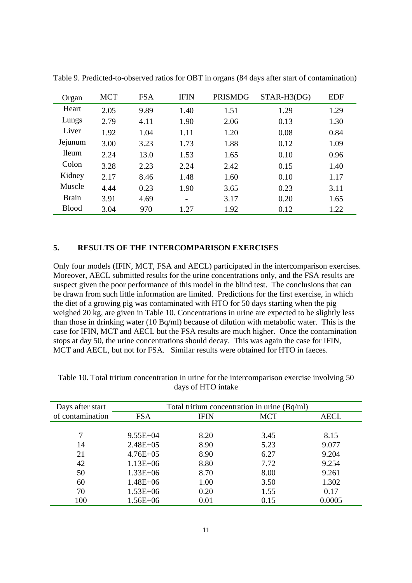| Organ        | <b>MCT</b> | <b>FSA</b> | <b>IFIN</b> | <b>PRISMDG</b> | STAR-H3(DG) | <b>EDF</b> |
|--------------|------------|------------|-------------|----------------|-------------|------------|
| Heart        | 2.05       | 9.89       | 1.40        | 1.51           | 1.29        | 1.29       |
| Lungs        | 2.79       | 4.11       | 1.90        | 2.06           | 0.13        | 1.30       |
| Liver        | 1.92       | 1.04       | 1.11        | 1.20           | 0.08        | 0.84       |
| Jejunum      | 3.00       | 3.23       | 1.73        | 1.88           | 0.12        | 1.09       |
| <b>Ileum</b> | 2.24       | 13.0       | 1.53        | 1.65           | 0.10        | 0.96       |
| Colon        | 3.28       | 2.23       | 2.24        | 2.42           | 0.15        | 1.40       |
| Kidney       | 2.17       | 8.46       | 1.48        | 1.60           | 0.10        | 1.17       |
| Muscle       | 4.44       | 0.23       | 1.90        | 3.65           | 0.23        | 3.11       |
| <b>Brain</b> | 3.91       | 4.69       |             | 3.17           | 0.20        | 1.65       |
| <b>Blood</b> | 3.04       | 970        | 1.27        | 1.92           | 0.12        | 1.22       |

Table 9. Predicted-to-observed ratios for OBT in organs (84 days after start of contamination)

### **5. RESULTS OF THE INTERCOMPARISON EXERCISES**

Only four models (IFIN, MCT, FSA and AECL) participated in the intercomparison exercises. Moreover, AECL submitted results for the urine concentrations only, and the FSA results are suspect given the poor performance of this model in the blind test. The conclusions that can be drawn from such little information are limited. Predictions for the first exercise, in which the diet of a growing pig was contaminated with HTO for 50 days starting when the pig weighed 20 kg, are given in Table 10. Concentrations in urine are expected to be slightly less than those in drinking water (10 Bq/ml) because of dilution with metabolic water. This is the case for IFIN, MCT and AECL but the FSA results are much higher. Once the contamination stops at day 50, the urine concentrations should decay. This was again the case for IFIN, MCT and AECL, but not for FSA. Similar results were obtained for HTO in faeces.

| Days after start |              |             | Total tritium concentration in urine $(Bq/ml)$ |             |
|------------------|--------------|-------------|------------------------------------------------|-------------|
| of contamination | <b>FSA</b>   | <b>IFIN</b> | <b>MCT</b>                                     | <b>AECL</b> |
|                  |              |             |                                                |             |
|                  | $9.55E+04$   | 8.20        | 3.45                                           | 8.15        |
| 14               | $2.48E + 05$ | 8.90        | 5.23                                           | 9.077       |
| 21               | $4.76E + 05$ | 8.90        | 6.27                                           | 9.204       |
| 42               | $1.13E + 06$ | 8.80        | 7.72                                           | 9.254       |
| 50               | $1.33E + 06$ | 8.70        | 8.00                                           | 9.261       |
| 60               | $1.48E + 06$ | 1.00        | 3.50                                           | 1.302       |
| 70               | $1.53E + 06$ | 0.20        | 1.55                                           | 0.17        |
| 100              | $1.56E + 06$ | 0.01        | 0.15                                           | 0.0005      |

Table 10. Total tritium concentration in urine for the intercomparison exercise involving 50 days of HTO intake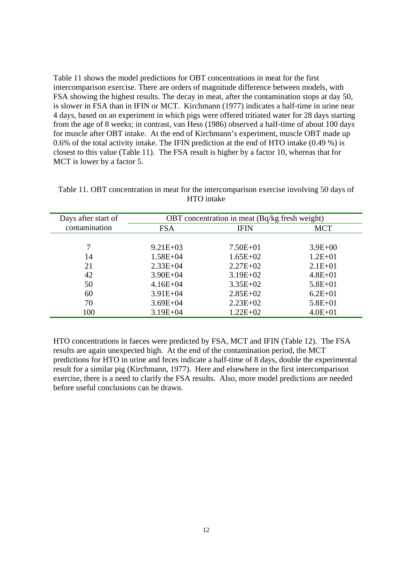Table 11 shows the model predictions for OBT concentrations in meat for the first intercomparison exercise. There are orders of magnitude difference between models, with FSA showing the highest results. The decay in meat, after the contamination stops at day 50, is slower in FSA than in IFIN or MCT. Kirchmann (1977) indicates a half-time in urine near 4 days, based on an experiment in which pigs were offered tritiated water for 28 days starting from the age of 8 weeks; in contrast, van Hess (1986) observed a half-time of about 100 days for muscle after OBT intake. At the end of Kirchmann's experiment, muscle OBT made up 0.6% of the total activity intake. The IFIN prediction at the end of HTO intake (0.49 %) is closest to this value (Table 11). The FSA result is higher by a factor 10, whereas that for MCT is lower by a factor 5.

| Days after start of | OBT concentration in meat (Bq/kg fresh weight) |              |             |  |  |
|---------------------|------------------------------------------------|--------------|-------------|--|--|
| contamination       | <b>FSA</b>                                     | <b>IFIN</b>  | <b>MCT</b>  |  |  |
|                     |                                                |              |             |  |  |
|                     | $9.21E + 03$                                   | $7.50E + 01$ | $3.9E + 00$ |  |  |
| 14                  | $1.58E + 04$                                   | $1.65E + 02$ | $1.2E + 01$ |  |  |
| 21                  | $2.33E + 04$                                   | $2.27E + 02$ | $2.1E + 01$ |  |  |
| 42                  | $3.90E + 04$                                   | $3.19E + 02$ | $4.8E + 01$ |  |  |
| 50                  | $4.16E + 04$                                   | $3.35E+02$   | $5.8E + 01$ |  |  |
| 60                  | $3.91E + 04$                                   | $2.85E+02$   | $6.2E + 01$ |  |  |
| 70                  | $3.69E + 04$                                   | $2.23E+02$   | $5.8E + 01$ |  |  |
| 100                 | $3.19E + 04$                                   | $1.22E + 02$ | $4.0E + 01$ |  |  |

Table 11. OBT concentration in meat for the intercomparison exercise involving 50 days of HTO intake

HTO concentrations in faeces were predicted by FSA, MCT and IFIN (Table 12). The FSA results are again unexpected high. At the end of the contamination period, the MCT predictions for HTO in urine and feces indicate a half-time of 8 days, double the experimental result for a similar pig (Kirchmann, 1977). Here and elsewhere in the first intercomparison exercise, there is a need to clarify the FSA results. Also, more model predictions are needed before useful conclusions can be drawn.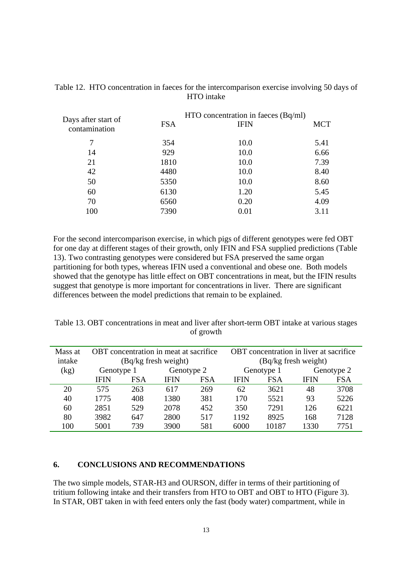| Days after start of<br>contamination | <b>FSA</b> | $HTO$ concentration in faeces $(Bq/ml)$<br><b>IFIN</b> | <b>MCT</b> |
|--------------------------------------|------------|--------------------------------------------------------|------------|
| 7                                    | 354        | 10.0                                                   | 5.41       |
| 14                                   | 929        | 10.0                                                   | 6.66       |
| 21                                   | 1810       | 10.0                                                   | 7.39       |
| 42                                   | 4480       | 10.0                                                   | 8.40       |
| 50                                   | 5350       | 10.0                                                   | 8.60       |
| 60                                   | 6130       | 1.20                                                   | 5.45       |
| 70                                   | 6560       | 0.20                                                   | 4.09       |
| 100                                  | 7390       | 0.01                                                   | 3.11       |

Table 12. HTO concentration in faeces for the intercomparison exercise involving 50 days of HTO intake

For the second intercomparison exercise, in which pigs of different genotypes were fed OBT for one day at different stages of their growth, only IFIN and FSA supplied predictions (Table 13). Two contrasting genotypes were considered but FSA preserved the same organ partitioning for both types, whereas IFIN used a conventional and obese one. Both models showed that the genotype has little effect on OBT concentrations in meat, but the IFIN results suggest that genotype is more important for concentrations in liver. There are significant differences between the model predictions that remain to be explained.

Table 13. OBT concentrations in meat and liver after short-term OBT intake at various stages of growth

| Mass at | OBT concentration in meat at sacrifice |                          |                      | OBT concentration in liver at sacrifice |                      |            |      |            |
|---------|----------------------------------------|--------------------------|----------------------|-----------------------------------------|----------------------|------------|------|------------|
| intake  |                                        |                          | (Bq/kg fresh weight) |                                         | (Bq/kg fresh weight) |            |      |            |
| (kg)    |                                        | Genotype 2<br>Genotype 1 |                      | Genotype 1                              |                      | Genotype 2 |      |            |
|         | IFIN                                   | FSA                      | <b>IFIN</b>          | <b>FSA</b>                              | <b>IFIN</b>          | <b>FSA</b> | IFIN | <b>FSA</b> |
| 20      | 575                                    | 263                      | 617                  | 269                                     | 62                   | 3621       | 48   | 3708       |
| 40      | 1775                                   | 408                      | 1380                 | 381                                     | 170                  | 5521       | 93   | 5226       |
| 60      | 2851                                   | 529                      | 2078                 | 452                                     | 350                  | 7291       | 126  | 6221       |
| 80      | 3982                                   | 647                      | 2800                 | 517                                     | 1192                 | 8925       | 168  | 7128       |
| 100     | 5001                                   | 739                      | 3900                 | 581                                     | 6000                 | 10187      | 1330 | 7751       |

### **6. CONCLUSIONS AND RECOMMENDATIONS**

The two simple models, STAR-H3 and OURSON, differ in terms of their partitioning of tritium following intake and their transfers from HTO to OBT and OBT to HTO (Figure 3). In STAR, OBT taken in with feed enters only the fast (body water) compartment, while in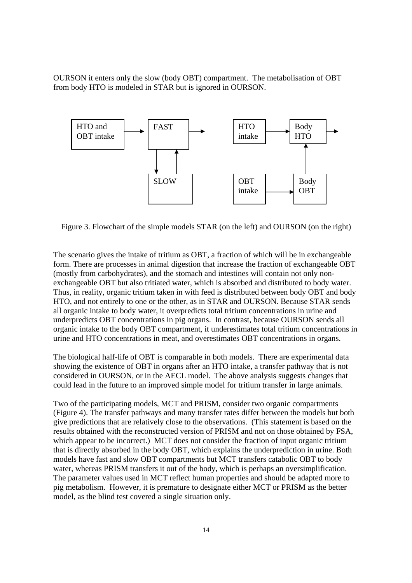OURSON it enters only the slow (body OBT) compartment. The metabolisation of OBT from body HTO is modeled in STAR but is ignored in OURSON.



Figure 3. Flowchart of the simple models STAR (on the left) and OURSON (on the right)

The scenario gives the intake of tritium as OBT, a fraction of which will be in exchangeable form. There are processes in animal digestion that increase the fraction of exchangeable OBT (mostly from carbohydrates), and the stomach and intestines will contain not only nonexchangeable OBT but also tritiated water, which is absorbed and distributed to body water. Thus, in reality, organic tritium taken in with feed is distributed between body OBT and body HTO, and not entirely to one or the other, as in STAR and OURSON. Because STAR sends all organic intake to body water, it overpredicts total tritium concentrations in urine and underpredicts OBT concentrations in pig organs. In contrast, because OURSON sends all organic intake to the body OBT compartment, it underestimates total tritium concentrations in urine and HTO concentrations in meat, and overestimates OBT concentrations in organs.

The biological half-life of OBT is comparable in both models. There are experimental data showing the existence of OBT in organs after an HTO intake, a transfer pathway that is not considered in OURSON, or in the AECL model. The above analysis suggests changes that could lead in the future to an improved simple model for tritium transfer in large animals.

Two of the participating models, MCT and PRISM, consider two organic compartments (Figure 4). The transfer pathways and many transfer rates differ between the models but both give predictions that are relatively close to the observations. (This statement is based on the results obtained with the reconstructed version of PRISM and not on those obtained by FSA, which appear to be incorrect.) MCT does not consider the fraction of input organic tritium that is directly absorbed in the body OBT, which explains the underprediction in urine. Both models have fast and slow OBT compartments but MCT transfers catabolic OBT to body water, whereas PRISM transfers it out of the body, which is perhaps an oversimplification. The parameter values used in MCT reflect human properties and should be adapted more to pig metabolism. However, it is premature to designate either MCT or PRISM as the better model, as the blind test covered a single situation only.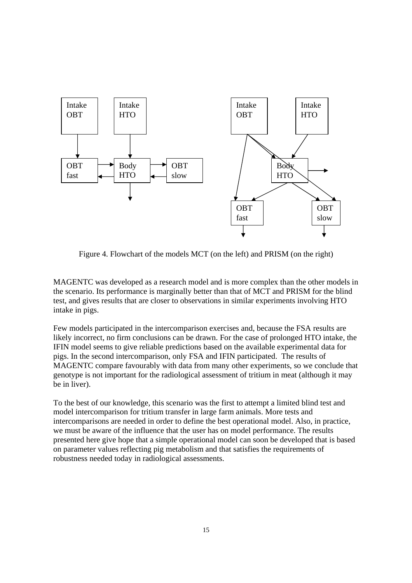

Figure 4. Flowchart of the models MCT (on the left) and PRISM (on the right)

MAGENTC was developed as a research model and is more complex than the other models in the scenario. Its performance is marginally better than that of MCT and PRISM for the blind test, and gives results that are closer to observations in similar experiments involving HTO intake in pigs.

Few models participated in the intercomparison exercises and, because the FSA results are likely incorrect, no firm conclusions can be drawn. For the case of prolonged HTO intake, the IFIN model seems to give reliable predictions based on the available experimental data for pigs. In the second intercomparison, only FSA and IFIN participated. The results of MAGENTC compare favourably with data from many other experiments, so we conclude that genotype is not important for the radiological assessment of tritium in meat (although it may be in liver).

To the best of our knowledge, this scenario was the first to attempt a limited blind test and model intercomparison for tritium transfer in large farm animals. More tests and intercomparisons are needed in order to define the best operational model. Also, in practice, we must be aware of the influence that the user has on model performance. The results presented here give hope that a simple operational model can soon be developed that is based on parameter values reflecting pig metabolism and that satisfies the requirements of robustness needed today in radiological assessments.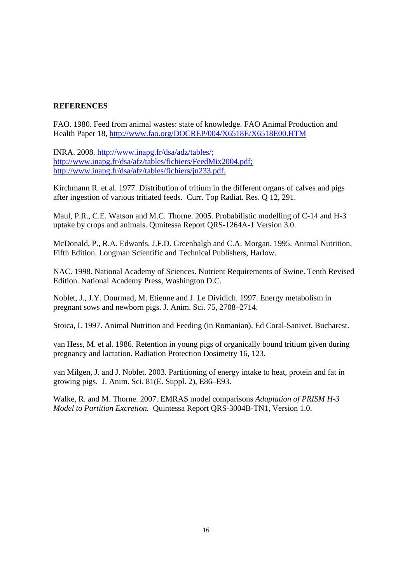### **REFERENCES**

FAO. 1980. Feed from animal wastes: state of knowledge. FAO Animal Production and Health Paper 18, http://www.fao.org/DOCREP/004/X6518E/X6518E00.HTM

INRA. 2008. http://www.inapg.fr/dsa/adz/tables/; http://www.inapg.fr/dsa/afz/tables/fichiers/FeedMix2004.pdf; http://www.inapg.fr/dsa/afz/tables/fichiers/jn233.pdf.

Kirchmann R. et al. 1977. Distribution of tritium in the different organs of calves and pigs after ingestion of various tritiated feeds. Curr. Top Radiat. Res. Q 12, 291.

Maul, P.R., C.E. Watson and M.C. Thorne. 2005. Probabilistic modelling of C-14 and H-3 uptake by crops and animals. Qunitessa Report QRS-1264A-1 Version 3.0.

McDonald, P., R.A. Edwards, J.F.D. Greenhalgh and C.A. Morgan. 1995. Animal Nutrition, Fifth Edition. Longman Scientific and Technical Publishers, Harlow.

NAC. 1998. National Academy of Sciences. Nutrient Requirements of Swine. Tenth Revised Edition. National Academy Press, Washington D.C.

Noblet, J., J.Y. Dourmad, M. Etienne and J. Le Dividich. 1997. Energy metabolism in pregnant sows and newborn pigs. J. Anim. Sci. 75, 2708–2714.

Stoica, I. 1997. Animal Nutrition and Feeding (in Romanian). Ed Coral-Sanivet, Bucharest.

van Hess, M. et al. 1986. Retention in young pigs of organically bound tritium given during pregnancy and lactation. Radiation Protection Dosimetry 16, 123.

van Milgen, J. and J. Noblet. 2003. Partitioning of energy intake to heat, protein and fat in growing pigs. J. Anim. Sci. 81(E. Suppl. 2), E86–E93.

Walke, R. and M. Thorne. 2007. EMRAS model comparisons *Adaptation of PRISM H-3 Model to Partition Excretion.* Quintessa Report QRS-3004B-TN1, Version 1.0.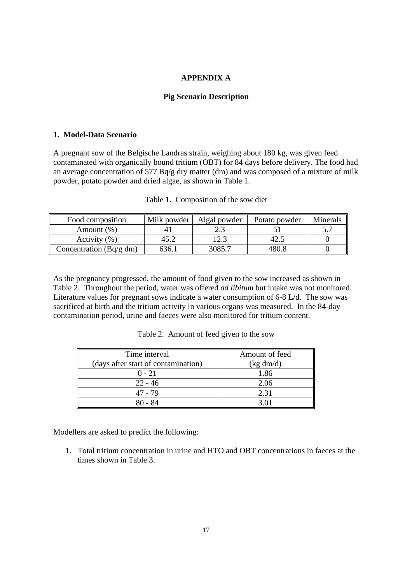### **APPENDIX A**

### **Pig Scenario Description**

### **1. Model-Data Scenario**

A pregnant sow of the Belgische Landras strain, weighing about 180 kg, was given feed contaminated with organically bound tritium (OBT) for 84 days before delivery. The food had an average concentration of 577 Bq/g dry matter (dm) and was composed of a mixture of milk powder, potato powder and dried algae, as shown in Table 1.

| Food composition        | Milk powder | Algal powder | Potato powder | Minerals |
|-------------------------|-------------|--------------|---------------|----------|
| Amount $(\%)$           |             |              |               |          |
| Activity $(\% )$        | 45.2        | 1 7 3        | 42.           |          |
| Concentration (Bq/g dm) | 536.        | 3085.7       | 480 S         |          |

|  | Table 1. Composition of the sow diet |  |  |
|--|--------------------------------------|--|--|
|--|--------------------------------------|--|--|

As the pregnancy progressed, the amount of food given to the sow increased as shown in Table 2. Throughout the period, water was offered *ad libitum* but intake was not monitored. Literature values for pregnant sows indicate a water consumption of 6-8 L/d. The sow was sacrificed at birth and the tritium activity in various organs was measured. In the 84-day contamination period, urine and faeces were also monitored for tritium content.

Table 2. Amount of feed given to the sow

| Time interval                       | Amount of feed |
|-------------------------------------|----------------|
| (days after start of contamination) | (kg dm/d)      |
| $0 - 21$                            | 1.86           |
| $22 - 46$                           | 2.06           |
| 47 - 79                             | 2.31           |
| 80 - 84                             |                |

Modellers are asked to predict the following:

1. Total tritium concentration in urine and HTO and OBT concentrations in faeces at the times shown in Table 3.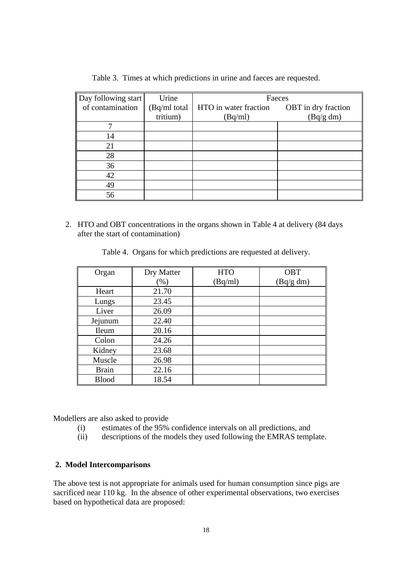| Day following start | Urine        | Faeces                |                     |  |  |  |
|---------------------|--------------|-----------------------|---------------------|--|--|--|
| of contamination    | (Bq/ml total | HTO in water fraction | OBT in dry fraction |  |  |  |
|                     | tritium)     | (Bq/ml)               | (Bq/g dm)           |  |  |  |
|                     |              |                       |                     |  |  |  |
| 14                  |              |                       |                     |  |  |  |
| 21                  |              |                       |                     |  |  |  |
| 28                  |              |                       |                     |  |  |  |
| 36                  |              |                       |                     |  |  |  |
| 42                  |              |                       |                     |  |  |  |
| 49                  |              |                       |                     |  |  |  |
| 56                  |              |                       |                     |  |  |  |

Table 3. Times at which predictions in urine and faeces are requested.

2. HTO and OBT concentrations in the organs shown in Table 4 at delivery (84 days after the start of contamination)

|  | Table 4. Organs for which predictions are requested at delivery. |
|--|------------------------------------------------------------------|
|  |                                                                  |

| Organ        | Dry Matter | <b>HTO</b> | OBT       |
|--------------|------------|------------|-----------|
|              | (% )       | (Bq/ml)    | (Bq/g dm) |
| Heart        | 21.70      |            |           |
| Lungs        | 23.45      |            |           |
| Liver        | 26.09      |            |           |
| Jejunum      | 22.40      |            |           |
| <b>Ileum</b> | 20.16      |            |           |
| Colon        | 24.26      |            |           |
| Kidney       | 23.68      |            |           |
| Muscle       | 26.98      |            |           |
| <b>Brain</b> | 22.16      |            |           |
| <b>Blood</b> | 18.54      |            |           |

Modellers are also asked to provide

- (i) estimates of the 95% confidence intervals on all predictions, and
- (ii) descriptions of the models they used following the EMRAS template.

### **2. Model Intercomparisons**

The above test is not appropriate for animals used for human consumption since pigs are sacrificed near 110 kg. In the absence of other experimental observations, two exercises based on hypothetical data are proposed: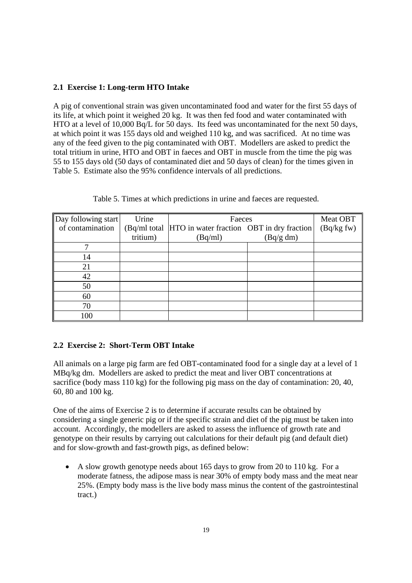### **2.1 Exercise 1: Long-term HTO Intake**

A pig of conventional strain was given uncontaminated food and water for the first 55 days of its life, at which point it weighed 20 kg. It was then fed food and water contaminated with HTO at a level of 10,000 Bq/L for 50 days. Its feed was uncontaminated for the next 50 days, at which point it was 155 days old and weighed 110 kg, and was sacrificed. At no time was any of the feed given to the pig contaminated with OBT. Modellers are asked to predict the total tritium in urine, HTO and OBT in faeces and OBT in muscle from the time the pig was 55 to 155 days old (50 days of contaminated diet and 50 days of clean) for the times given in Table 5. Estimate also the 95% confidence intervals of all predictions.

| Day following start | Urine    | Faeces                                                  | Meat OBT  |             |
|---------------------|----------|---------------------------------------------------------|-----------|-------------|
| of contamination    |          | (Bq/ml total  HTO in water fraction OBT in dry fraction |           | (Bq/kg f w) |
|                     | tritium) | (Bq/ml)                                                 | (Bq/g dm) |             |
|                     |          |                                                         |           |             |
| 14                  |          |                                                         |           |             |
| 21                  |          |                                                         |           |             |
| 42                  |          |                                                         |           |             |
| 50                  |          |                                                         |           |             |
| 60                  |          |                                                         |           |             |
| 70                  |          |                                                         |           |             |
| 100                 |          |                                                         |           |             |

Table 5. Times at which predictions in urine and faeces are requested.

## **2.2 Exercise 2: Short-Term OBT Intake**

All animals on a large pig farm are fed OBT-contaminated food for a single day at a level of 1 MBq/kg dm. Modellers are asked to predict the meat and liver OBT concentrations at sacrifice (body mass  $110 \text{ kg}$ ) for the following pig mass on the day of contamination: 20, 40, 60, 80 and 100 kg.

One of the aims of Exercise 2 is to determine if accurate results can be obtained by considering a single generic pig or if the specific strain and diet of the pig must be taken into account. Accordingly, the modellers are asked to assess the influence of growth rate and genotype on their results by carrying out calculations for their default pig (and default diet) and for slow-growth and fast-growth pigs, as defined below:

• A slow growth genotype needs about 165 days to grow from 20 to 110 kg. For a moderate fatness, the adipose mass is near 30% of empty body mass and the meat near 25%. (Empty body mass is the live body mass minus the content of the gastrointestinal tract.)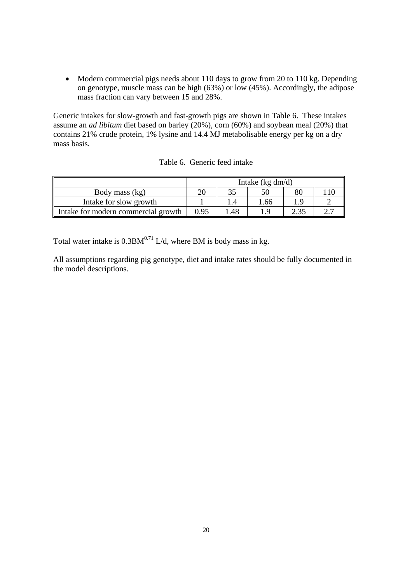• Modern commercial pigs needs about 110 days to grow from 20 to 110 kg. Depending on genotype, muscle mass can be high (63%) or low (45%). Accordingly, the adipose mass fraction can vary between 15 and 28%.

Generic intakes for slow-growth and fast-growth pigs are shown in Table 6. These intakes assume an *ad libitum* diet based on barley (20%), corn (60%) and soybean meal (20%) that contains 21% crude protein, 1% lysine and 14.4 MJ metabolisable energy per kg on a dry mass basis.

|                                     | Intake $(kg dm/d)$ |     |      |  |  |
|-------------------------------------|--------------------|-----|------|--|--|
| Body mass (kg)                      |                    |     |      |  |  |
| Intake for slow growth              |                    |     | l.66 |  |  |
| Intake for modern commercial growth | 0.95               | .48 |      |  |  |

| Table 6. Generic feed intake |  |  |  |
|------------------------------|--|--|--|
|------------------------------|--|--|--|

Total water intake is  $0.3BM^{0.71}$  L/d, where BM is body mass in kg.

All assumptions regarding pig genotype, diet and intake rates should be fully documented in the model descriptions.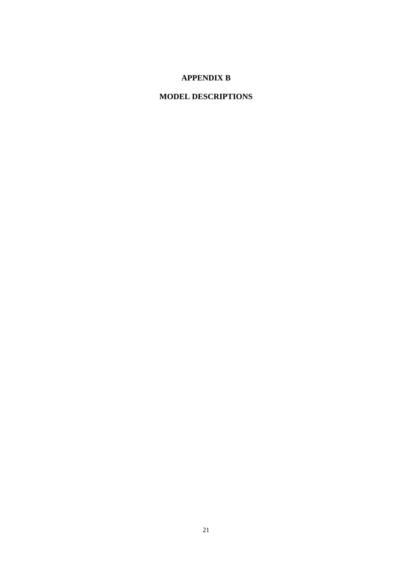## **APPENDIX B**

# **MODEL DESCRIPTIONS**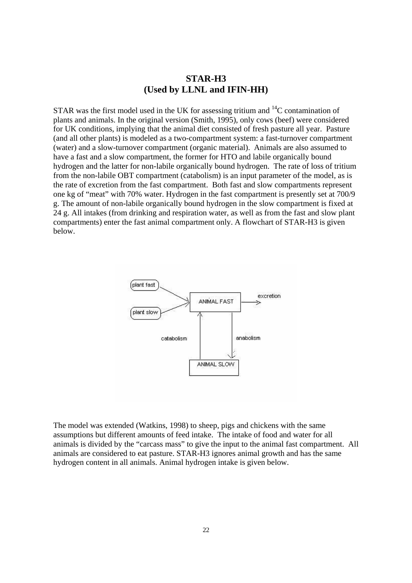## **STAR-H3 (Used by LLNL and IFIN-HH)**

STAR was the first model used in the UK for assessing tritium and  $^{14}C$  contamination of plants and animals. In the original version (Smith, 1995), only cows (beef) were considered for UK conditions, implying that the animal diet consisted of fresh pasture all year. Pasture (and all other plants) is modeled as a two-compartment system: a fast-turnover compartment (water) and a slow-turnover compartment (organic material). Animals are also assumed to have a fast and a slow compartment, the former for HTO and labile organically bound hydrogen and the latter for non-labile organically bound hydrogen. The rate of loss of tritium from the non-labile OBT compartment (catabolism) is an input parameter of the model, as is the rate of excretion from the fast compartment. Both fast and slow compartments represent one kg of "meat" with 70% water. Hydrogen in the fast compartment is presently set at 700/9 g. The amount of non-labile organically bound hydrogen in the slow compartment is fixed at 24 g. All intakes (from drinking and respiration water, as well as from the fast and slow plant compartments) enter the fast animal compartment only. A flowchart of STAR-H3 is given below.



The model was extended (Watkins, 1998) to sheep, pigs and chickens with the same assumptions but different amounts of feed intake. The intake of food and water for all animals is divided by the "carcass mass" to give the input to the animal fast compartment. All animals are considered to eat pasture. STAR-H3 ignores animal growth and has the same hydrogen content in all animals. Animal hydrogen intake is given below.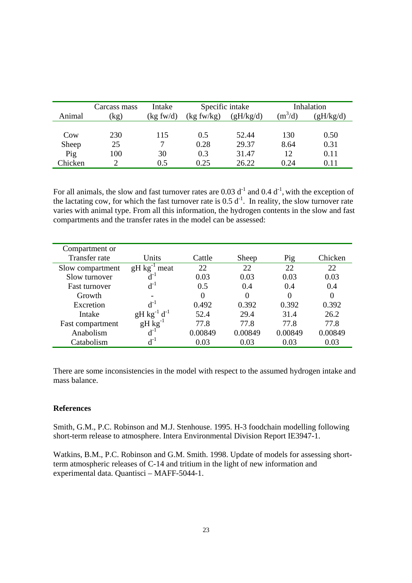|         | Carcass mass | Intake     | Specific intake |           |           | Inhalation |
|---------|--------------|------------|-----------------|-----------|-----------|------------|
| Animal  | (kg)         | (kg f w/d) | (kg f w/kg)     | (gH/kg/d) | $(m^3/d)$ | (gH/kg/d)  |
|         |              |            |                 |           |           |            |
| Cow     | 230          | 115        | 0.5             | 52.44     | 130       | 0.50       |
| Sheep   | 25           | 7          | 0.28            | 29.37     | 8.64      | 0.31       |
| Pig     | 100          | 30         | 0.3             | 31.47     | 12        | 0.11       |
| Chicken |              | 0.5        | 0.25            | 26.22     | 0.24      | 0.11       |

For all animals, the slow and fast turnover rates are 0.03  $d^{-1}$  and 0.4  $d^{-1}$ , with the exception of the lactating cow, for which the fast turnover rate is  $0.5 d^{-1}$ . In reality, the slow turnover rate varies with animal type. From all this information, the hydrogen contents in the slow and fast compartments and the transfer rates in the model can be assessed:

| Compartment or       |                     |         |         |         |         |
|----------------------|---------------------|---------|---------|---------|---------|
| Transfer rate        | Units               | Cattle  | Sheep   | Pig     | Chicken |
| Slow compartment     | $gH kg^{-1}$ meat   | 22      | 22      | 22      | 22      |
| Slow turnover        | $d^{-1}$            | 0.03    | 0.03    | 0.03    | 0.03    |
| <b>Fast turnover</b> | $d^{-1}$            | 0.5     | 0.4     | 0.4     | 0.4     |
| Growth               |                     |         | 0       |         |         |
| Excretion            | $d^{-1}$            | 0.492   | 0.392   | 0.392   | 0.392   |
| Intake               | $gH kg^{-1} d^{-1}$ | 52.4    | 29.4    | 31.4    | 26.2    |
| Fast compartment     | $gH kg^{-1}$        | 77.8    | 77.8    | 77.8    | 77.8    |
| Anabolism            | $d^{-1}$            | 0.00849 | 0.00849 | 0.00849 | 0.00849 |
| Catabolism           | $\rm{d}$ -1         | 0.03    | 0.03    | 0.03    | 0.03    |

There are some inconsistencies in the model with respect to the assumed hydrogen intake and mass balance.

### **References**

Smith, G.M., P.C. Robinson and M.J. Stenhouse. 1995. H-3 foodchain modelling following short-term release to atmosphere. Intera Environmental Division Report IE3947-1.

Watkins, B.M., P.C. Robinson and G.M. Smith. 1998. Update of models for assessing shortterm atmospheric releases of C-14 and tritium in the light of new information and experimental data. Quantisci – MAFF-5044-1.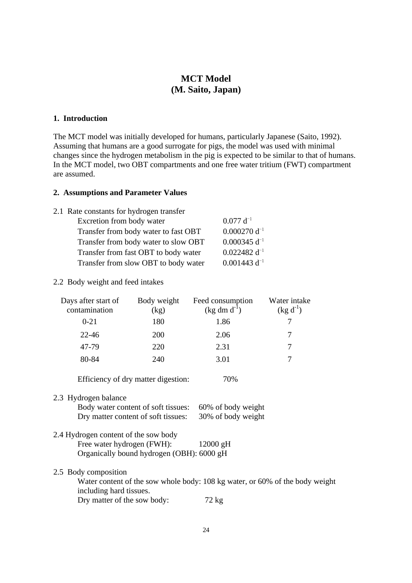## **MCT Model (M. Saito, Japan)**

### **1. Introduction**

The MCT model was initially developed for humans, particularly Japanese (Saito, 1992). Assuming that humans are a good surrogate for pigs, the model was used with minimal changes since the hydrogen metabolism in the pig is expected to be similar to that of humans. In the MCT model, two OBT compartments and one free water tritium (FWT) compartment are assumed.

#### **2. Assumptions and Parameter Values**

| 2.1 Rate constants for hydrogen transfer |                   |
|------------------------------------------|-------------------|
| Excretion from body water                | $0.077~d^{-1}$    |
| Transfer from body water to fast OBT     | $0.000270 d^{-1}$ |
| Transfer from body water to slow OBT     | $0.000345 d^{-1}$ |
| Transfer from fast OBT to body water     | $0.022482 d^{-1}$ |
| Transfer from slow OBT to body water     | $0.001443 d^{-1}$ |

#### 2.2 Body weight and feed intakes

| Days after start of<br>contamination                                           | Body weight<br>(kg)                                                     | Feed consumption<br>$(kg dm d^{-1})$ | Water intake<br>$(kg d^{-1})$                                                |  |  |  |  |
|--------------------------------------------------------------------------------|-------------------------------------------------------------------------|--------------------------------------|------------------------------------------------------------------------------|--|--|--|--|
| $0 - 21$                                                                       | 180                                                                     | 1.86                                 | 7                                                                            |  |  |  |  |
| $22 - 46$                                                                      | 200                                                                     | 2.06                                 | $\overline{7}$                                                               |  |  |  |  |
| 47-79                                                                          | 220                                                                     | 2.31                                 | 7                                                                            |  |  |  |  |
| 80-84                                                                          | 240                                                                     | 3.01                                 | 7                                                                            |  |  |  |  |
|                                                                                | Efficiency of dry matter digestion:                                     | 70%                                  |                                                                              |  |  |  |  |
| 2.3 Hydrogen balance                                                           |                                                                         |                                      |                                                                              |  |  |  |  |
|                                                                                | Body water content of soft tissues:                                     | 60% of body weight                   |                                                                              |  |  |  |  |
| Dry matter content of soft tissues:<br>30% of body weight                      |                                                                         |                                      |                                                                              |  |  |  |  |
| 2.4 Hydrogen content of the sow body                                           | Free water hydrogen (FWH):<br>Organically bound hydrogen (OBH): 6000 gH | $12000 \text{ gH}$                   |                                                                              |  |  |  |  |
| 2.5 Body composition<br>including hard tissues.<br>Dry matter of the sow body: |                                                                         | 72 kg                                | Water content of the sow whole body: 108 kg water, or 60% of the body weight |  |  |  |  |
|                                                                                |                                                                         |                                      |                                                                              |  |  |  |  |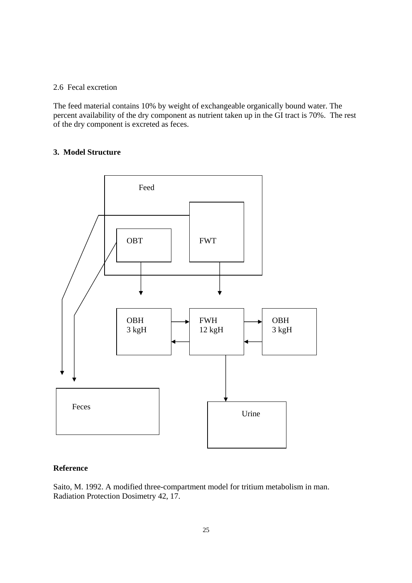### 2.6 Fecal excretion

The feed material contains 10% by weight of exchangeable organically bound water. The percent availability of the dry component as nutrient taken up in the GI tract is 70%. The rest of the dry component is excreted as feces.

### **3. Model Structure**



### **Reference**

Saito, M. 1992. A modified three-compartment model for tritium metabolism in man. Radiation Protection Dosimetry 42, 17.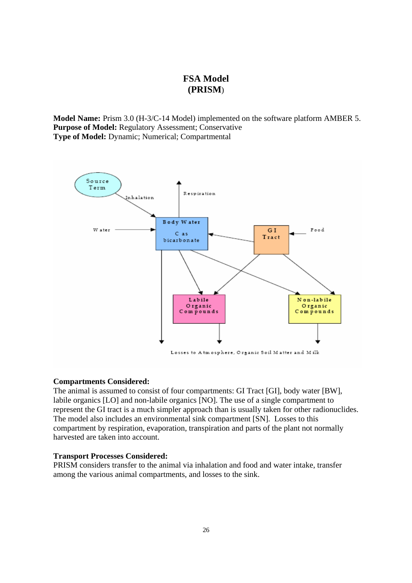## **FSA Model (PRISM**)

**Model Name:** Prism 3.0 (H-3/C-14 Model) implemented on the software platform AMBER 5. **Purpose of Model:** Regulatory Assessment; Conservative **Type of Model:** Dynamic; Numerical; Compartmental



#### **Compartments Considered:**

The animal is assumed to consist of four compartments: GI Tract [GI], body water [BW], labile organics [LO] and non-labile organics [NO]. The use of a single compartment to represent the GI tract is a much simpler approach than is usually taken for other radionuclides. The model also includes an environmental sink compartment [SN]. Losses to this compartment by respiration, evaporation, transpiration and parts of the plant not normally harvested are taken into account.

#### **Transport Processes Considered:**

PRISM considers transfer to the animal via inhalation and food and water intake, transfer among the various animal compartments, and losses to the sink.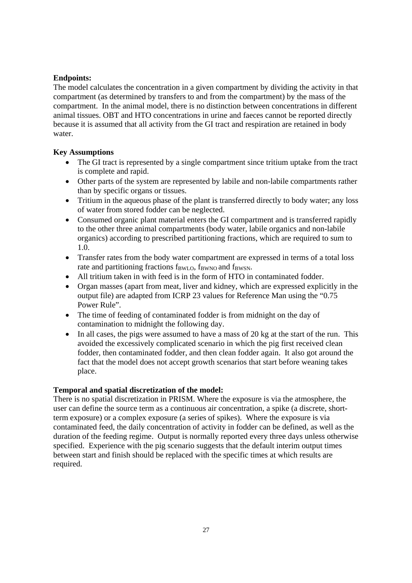### **Endpoints:**

The model calculates the concentration in a given compartment by dividing the activity in that compartment (as determined by transfers to and from the compartment) by the mass of the compartment. In the animal model, there is no distinction between concentrations in different animal tissues. OBT and HTO concentrations in urine and faeces cannot be reported directly because it is assumed that all activity from the GI tract and respiration are retained in body water.

### **Key Assumptions**

- The GI tract is represented by a single compartment since tritium uptake from the tract is complete and rapid.
- Other parts of the system are represented by labile and non-labile compartments rather than by specific organs or tissues.
- Tritium in the aqueous phase of the plant is transferred directly to body water; any loss of water from stored fodder can be neglected.
- Consumed organic plant material enters the GI compartment and is transferred rapidly to the other three animal compartments (body water, labile organics and non-labile organics) according to prescribed partitioning fractions, which are required to sum to 1.0.
- Transfer rates from the body water compartment are expressed in terms of a total loss rate and partitioning fractions  $f_{BWI,0}$ ,  $f_{BWNO}$  and  $f_{BWSN}$ .
- All tritium taken in with feed is in the form of HTO in contaminated fodder.
- Organ masses (apart from meat, liver and kidney, which are expressed explicitly in the output file) are adapted from ICRP 23 values for Reference Man using the "0.75 Power Rule".
- The time of feeding of contaminated fodder is from midnight on the day of contamination to midnight the following day.
- In all cases, the pigs were assumed to have a mass of 20 kg at the start of the run. This avoided the excessively complicated scenario in which the pig first received clean fodder, then contaminated fodder, and then clean fodder again. It also got around the fact that the model does not accept growth scenarios that start before weaning takes place.

### **Temporal and spatial discretization of the model:**

There is no spatial discretization in PRISM. Where the exposure is via the atmosphere, the user can define the source term as a continuous air concentration, a spike (a discrete, shortterm exposure) or a complex exposure (a series of spikes). Where the exposure is via contaminated feed, the daily concentration of activity in fodder can be defined, as well as the duration of the feeding regime. Output is normally reported every three days unless otherwise specified. Experience with the pig scenario suggests that the default interim output times between start and finish should be replaced with the specific times at which results are required.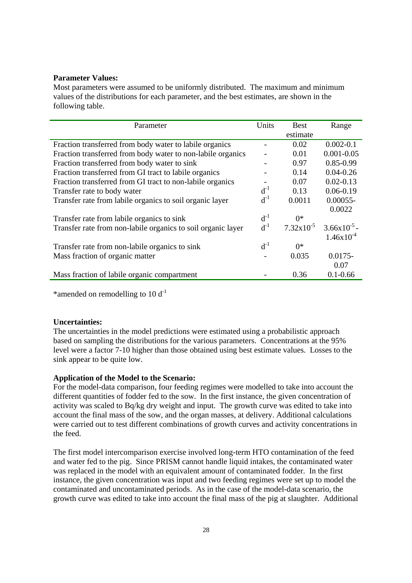#### **Parameter Values:**

Most parameters were assumed to be uniformly distributed. The maximum and minimum values of the distributions for each parameter, and the best estimates, are shown in the following table.

| Parameter                                                    | Units    | <b>Best</b>           | Range          |
|--------------------------------------------------------------|----------|-----------------------|----------------|
|                                                              |          | estimate              |                |
| Fraction transferred from body water to labile organics      |          | 0.02                  | $0.002 - 0.1$  |
| Fraction transferred from body water to non-labile organics  |          | 0.01                  | $0.001 - 0.05$ |
| Fraction transferred from body water to sink                 |          | 0.97                  | $0.85 - 0.99$  |
| Fraction transferred from GI tract to labile organics        |          | 0.14                  | $0.04 - 0.26$  |
| Fraction transferred from GI tract to non-labile organics    |          | 0.07                  | $0.02 - 0.13$  |
| Transfer rate to body water                                  | $d^{-1}$ | 0.13                  | $0.06 - 0.19$  |
| Transfer rate from labile organics to soil organic layer     | $d^{-1}$ | 0.0011                | $0.00055 -$    |
|                                                              |          |                       | 0.0022         |
| Transfer rate from labile organics to sink                   | $d^{-1}$ | $()^*$                |                |
| Transfer rate from non-labile organics to soil organic layer | $d^{-1}$ | $7.32 \times 10^{-5}$ | $3.66x10^{-5}$ |
|                                                              |          |                       | $1.46x10^{-4}$ |
| Transfer rate from non-labile organics to sink               | $d^{-1}$ | $0^*$                 |                |
| Mass fraction of organic matter                              |          | 0.035                 | $0.0175 -$     |
|                                                              |          |                       | 0.07           |
| Mass fraction of labile organic compartment                  |          | 0.36                  | $0.1 - 0.66$   |

\*amended on remodelling to  $10 d^{-1}$ 

#### **Uncertainties:**

The uncertainties in the model predictions were estimated using a probabilistic approach based on sampling the distributions for the various parameters. Concentrations at the 95% level were a factor 7-10 higher than those obtained using best estimate values. Losses to the sink appear to be quite low.

### **Application of the Model to the Scenario:**

For the model-data comparison, four feeding regimes were modelled to take into account the different quantities of fodder fed to the sow. In the first instance, the given concentration of activity was scaled to Bq/kg dry weight and input. The growth curve was edited to take into account the final mass of the sow, and the organ masses, at delivery. Additional calculations were carried out to test different combinations of growth curves and activity concentrations in the feed.

The first model intercomparison exercise involved long-term HTO contamination of the feed and water fed to the pig. Since PRISM cannot handle liquid intakes, the contaminated water was replaced in the model with an equivalent amount of contaminated fodder. In the first instance, the given concentration was input and two feeding regimes were set up to model the contaminated and uncontaminated periods. As in the case of the model-data scenario, the growth curve was edited to take into account the final mass of the pig at slaughter. Additional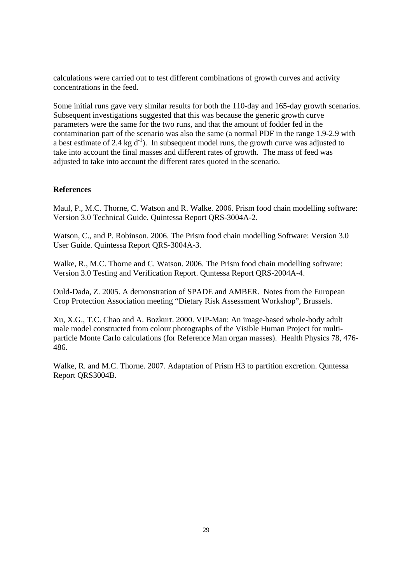calculations were carried out to test different combinations of growth curves and activity concentrations in the feed.

Some initial runs gave very similar results for both the 110-day and 165-day growth scenarios. Subsequent investigations suggested that this was because the generic growth curve parameters were the same for the two runs, and that the amount of fodder fed in the contamination part of the scenario was also the same (a normal PDF in the range 1.9-2.9 with a best estimate of 2.4 kg  $d^{-1}$ ). In subsequent model runs, the growth curve was adjusted to take into account the final masses and different rates of growth. The mass of feed was adjusted to take into account the different rates quoted in the scenario.

### **References**

Maul, P., M.C. Thorne, C. Watson and R. Walke. 2006. Prism food chain modelling software: Version 3.0 Technical Guide. Quintessa Report QRS-3004A-2.

Watson, C., and P. Robinson. 2006. The Prism food chain modelling Software: Version 3.0 User Guide. Quintessa Report QRS-3004A-3.

Walke, R., M.C. Thorne and C. Watson. 2006. The Prism food chain modelling software: Version 3.0 Testing and Verification Report. Quntessa Report QRS-2004A-4.

Ould-Dada, Z. 2005. A demonstration of SPADE and AMBER. Notes from the European Crop Protection Association meeting "Dietary Risk Assessment Workshop", Brussels.

Xu, X.G., T.C. Chao and A. Bozkurt. 2000. VIP-Man: An image-based whole-body adult male model constructed from colour photographs of the Visible Human Project for multiparticle Monte Carlo calculations (for Reference Man organ masses). Health Physics 78, 476- 486.

Walke, R. and M.C. Thorne. 2007. Adaptation of Prism H3 to partition excretion. Quntessa Report QRS3004B.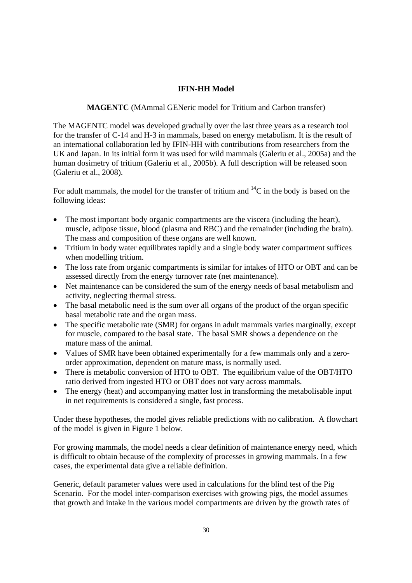### **IFIN-HH Model**

**MAGENTC** (MAmmal GENeric model for Tritium and Carbon transfer)

The MAGENTC model was developed gradually over the last three years as a research tool for the transfer of C-14 and H-3 in mammals, based on energy metabolism. It is the result of an international collaboration led by IFIN-HH with contributions from researchers from the UK and Japan. In its initial form it was used for wild mammals (Galeriu et al., 2005a) and the human dosimetry of tritium (Galeriu et al., 2005b). A full description will be released soon (Galeriu et al., 2008).

For adult mammals, the model for the transfer of tritium and  $^{14}C$  in the body is based on the following ideas:

- The most important body organic compartments are the viscera (including the heart), muscle, adipose tissue, blood (plasma and RBC) and the remainder (including the brain). The mass and composition of these organs are well known.
- Tritium in body water equilibrates rapidly and a single body water compartment suffices when modelling tritium.
- The loss rate from organic compartments is similar for intakes of HTO or OBT and can be assessed directly from the energy turnover rate (net maintenance).
- Net maintenance can be considered the sum of the energy needs of basal metabolism and activity, neglecting thermal stress.
- The basal metabolic need is the sum over all organs of the product of the organ specific basal metabolic rate and the organ mass.
- The specific metabolic rate (SMR) for organs in adult mammals varies marginally, except for muscle, compared to the basal state. The basal SMR shows a dependence on the mature mass of the animal.
- Values of SMR have been obtained experimentally for a few mammals only and a zeroorder approximation, dependent on mature mass, is normally used.
- There is metabolic conversion of HTO to OBT. The equilibrium value of the OBT/HTO ratio derived from ingested HTO or OBT does not vary across mammals.
- The energy (heat) and accompanying matter lost in transforming the metabolisable input in net requirements is considered a single, fast process.

Under these hypotheses, the model gives reliable predictions with no calibration. A flowchart of the model is given in Figure 1 below.

For growing mammals, the model needs a clear definition of maintenance energy need, which is difficult to obtain because of the complexity of processes in growing mammals. In a few cases, the experimental data give a reliable definition.

Generic, default parameter values were used in calculations for the blind test of the Pig Scenario. For the model inter-comparison exercises with growing pigs, the model assumes that growth and intake in the various model compartments are driven by the growth rates of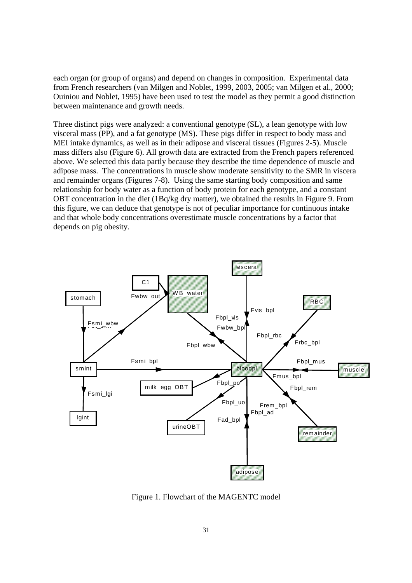each organ (or group of organs) and depend on changes in composition. Experimental data from French researchers (van Milgen and Noblet, 1999, 2003, 2005; van Milgen et al., 2000; Ouiniou and Noblet, 1995) have been used to test the model as they permit a good distinction between maintenance and growth needs.

Three distinct pigs were analyzed: a conventional genotype (SL), a lean genotype with low visceral mass (PP), and a fat genotype (MS). These pigs differ in respect to body mass and MEI intake dynamics, as well as in their adipose and visceral tissues (Figures 2-5). Muscle mass differs also (Figure 6). All growth data are extracted from the French papers referenced above. We selected this data partly because they describe the time dependence of muscle and adipose mass. The concentrations in muscle show moderate sensitivity to the SMR in viscera and remainder organs (Figures 7-8). Using the same starting body composition and same relationship for body water as a function of body protein for each genotype, and a constant OBT concentration in the diet (1Bq/kg dry matter), we obtained the results in Figure 9. From this figure, we can deduce that genotype is not of peculiar importance for continuous intake and that whole body concentrations overestimate muscle concentrations by a factor that depends on pig obesity.



Figure 1. Flowchart of the MAGENTC model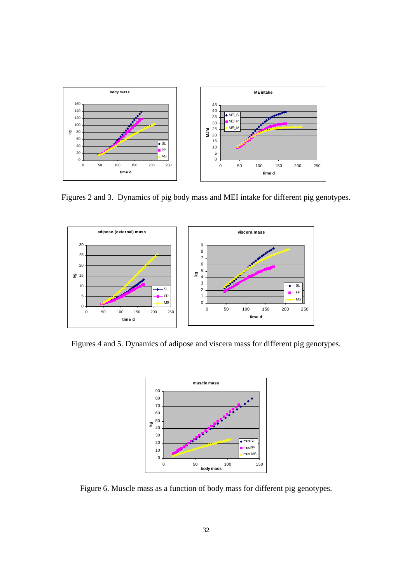

Figures 2 and 3. Dynamics of pig body mass and MEI intake for different pig genotypes.



Figures 4 and 5. Dynamics of adipose and viscera mass for different pig genotypes.



Figure 6. Muscle mass as a function of body mass for different pig genotypes.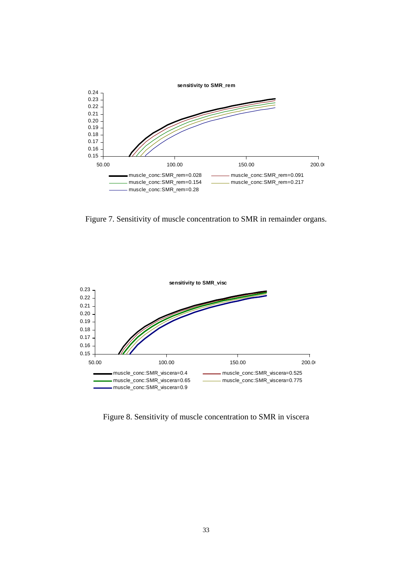

Figure 7. Sensitivity of muscle concentration to SMR in remainder organs.



Figure 8. Sensitivity of muscle concentration to SMR in viscera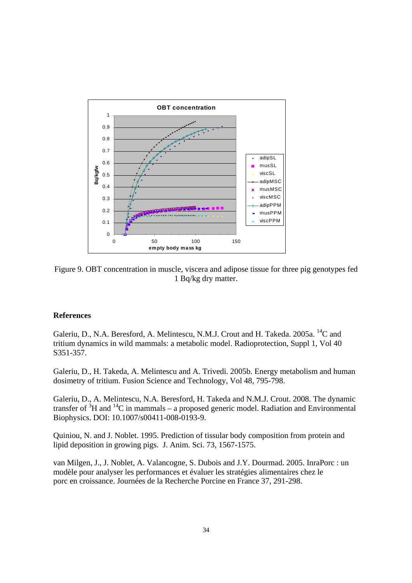

Figure 9. OBT concentration in muscle, viscera and adipose tissue for three pig genotypes fed 1 Bq/kg dry matter.

### **References**

Galeriu, D., N.A. Beresford, A. Melintescu, N.M.J. Crout and H. Takeda. 2005a. <sup>14</sup>C and tritium dynamics in wild mammals: a metabolic model. Radioprotection, Suppl 1, Vol 40 S351-357.

Galeriu, D., H. Takeda, A. Melintescu and A. Trivedi. 2005b. Energy metabolism and human dosimetry of tritium. Fusion Science and Technology, Vol 48, 795-798.

Galeriu, D., A. Melintescu, N.A. Beresford, H. Takeda and N.M.J. Crout. 2008. The dynamic transfer of  ${}^{3}H$  and  ${}^{14}C$  in mammals – a proposed generic model. Radiation and Environmental Biophysics. DOI: 10.1007/s00411-008-0193-9.

Quiniou, N. and J. Noblet. 1995. Prediction of tissular body composition from protein and lipid deposition in growing pigs. J. Anim. Sci. 73, 1567-1575.

van Milgen, J., J. Noblet, A. Valancogne, S. Dubois and J.Y. Dourmad. 2005. InraPorc : un modèle pour analyser les performances et évaluer les stratégies alimentaires chez le porc en croissance. Journées de la Recherche Porcine en France 37, 291-298.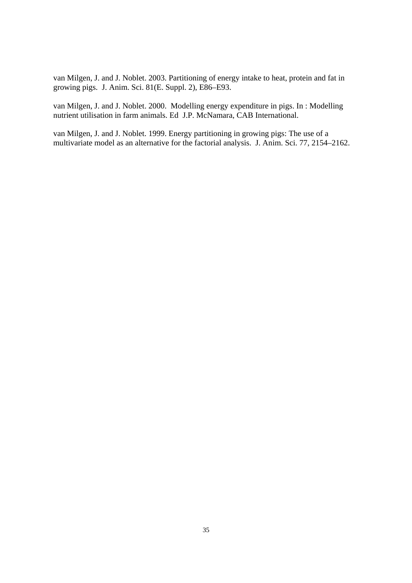van Milgen, J. and J. Noblet. 2003. Partitioning of energy intake to heat, protein and fat in growing pigs. J. Anim. Sci. 81(E. Suppl. 2), E86–E93.

van Milgen, J. and J. Noblet. 2000. Modelling energy expenditure in pigs. In : Modelling nutrient utilisation in farm animals. Ed J.P. McNamara, CAB International.

van Milgen, J. and J. Noblet. 1999. Energy partitioning in growing pigs: The use of a multivariate model as an alternative for the factorial analysis. J. Anim. Sci. 77, 2154–2162.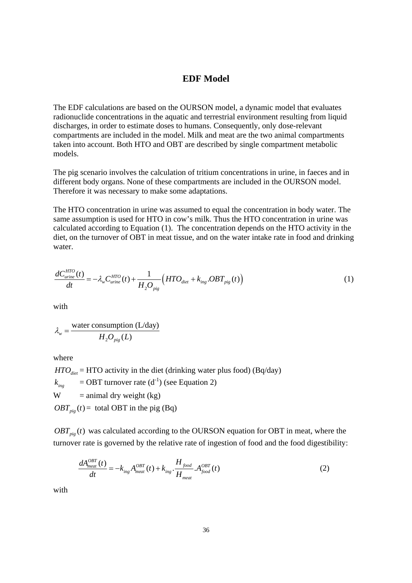### **EDF Model**

The EDF calculations are based on the OURSON model, a dynamic model that evaluates radionuclide concentrations in the aquatic and terrestrial environment resulting from liquid discharges, in order to estimate doses to humans. Consequently, only dose-relevant compartments are included in the model. Milk and meat are the two animal compartments taken into account. Both HTO and OBT are described by single compartment metabolic models.

The pig scenario involves the calculation of tritium concentrations in urine, in faeces and in different body organs. None of these compartments are included in the OURSON model. Therefore it was necessary to make some adaptations.

The HTO concentration in urine was assumed to equal the concentration in body water. The same assumption is used for HTO in cow's milk. Thus the HTO concentration in urine was calculated according to Equation (1). The concentration depends on the HTO activity in the diet, on the turnover of OBT in meat tissue, and on the water intake rate in food and drinking water.

$$
\frac{dC_{\text{urine}}^{HTO}(t)}{dt} = -\lambda_w C_{\text{urine}}^{HTO}(t) + \frac{1}{H_2 O_{\text{pig}}}(HTO_{\text{diet}} + k_{\text{ing}}. OBT_{\text{pig}}(t))
$$
\n(1)

with

$$
\lambda_{w} = \frac{\text{water consumption (L/day)}}{H_2 O_{\text{pig}}(L)}
$$

where

 $HTO<sub>diet</sub>$  = HTO activity in the diet (drinking water plus food) (Bq/day)  $k_{\text{inc}}$  = OBT turnover rate (d<sup>-1</sup>) (see Equation 2)  $W =$  animal dry weight (kg)  $OBT_{\text{pie}}(t)$  = total OBT in the pig (Bq)

 $OBT_{\textit{pie}}(t)$  was calculated according to the OURSON equation for OBT in meat, where the turnover rate is governed by the relative rate of ingestion of food and the food digestibility:

$$
\frac{dA_{meat}^{OBT}(t)}{dt} = -k_{ing}A_{meat}^{OBT}(t) + k_{ing} \cdot \frac{H_{food}}{H_{meat}} \cdot A_{food}^{OBT}(t)
$$
\n(2)

with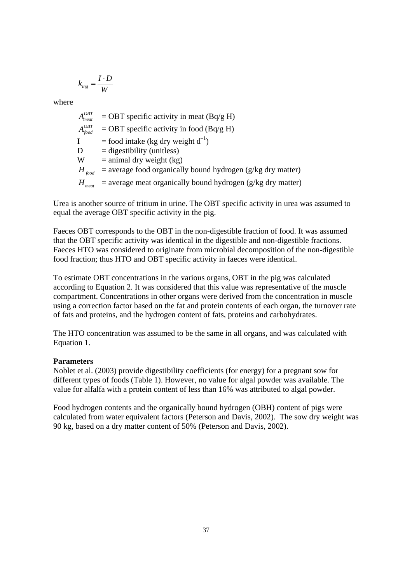$$
k_{\text{ing}} = \frac{I \cdot D}{W}
$$

where

 $A_{\text{meat}}^{\text{OBT}}$  = OBT specific activity in meat (Bq/g H)<br> $A_{\text{food}}^{\text{OBT}}$  = OBT specific activity in food (Bq/g H)  $=$  OBT specific activity in food (Bq/g H) I = food intake (kg dry weight  $d^{-1}$ )  $D =$  digestibility (unitless)  $W =$  animal dry weight (kg)  $H_{\text{food}}$  = average food organically bound hydrogen (g/kg dry matter)  $H_{\text{meat}}$  = average meat organically bound hydrogen (g/kg dry matter)

Urea is another source of tritium in urine. The OBT specific activity in urea was assumed to equal the average OBT specific activity in the pig.

Faeces OBT corresponds to the OBT in the non-digestible fraction of food. It was assumed that the OBT specific activity was identical in the digestible and non-digestible fractions. Faeces HTO was considered to originate from microbial decomposition of the non-digestible food fraction; thus HTO and OBT specific activity in faeces were identical.

To estimate OBT concentrations in the various organs, OBT in the pig was calculated according to Equation 2. It was considered that this value was representative of the muscle compartment. Concentrations in other organs were derived from the concentration in muscle using a correction factor based on the fat and protein contents of each organ, the turnover rate of fats and proteins, and the hydrogen content of fats, proteins and carbohydrates.

The HTO concentration was assumed to be the same in all organs, and was calculated with Equation 1.

## **Parameters**

Noblet et al. (2003) provide digestibility coefficients (for energy) for a pregnant sow for different types of foods (Table 1). However, no value for algal powder was available. The value for alfalfa with a protein content of less than 16% was attributed to algal powder.

Food hydrogen contents and the organically bound hydrogen (OBH) content of pigs were calculated from water equivalent factors (Peterson and Davis, 2002). The sow dry weight was 90 kg, based on a dry matter content of 50% (Peterson and Davis, 2002).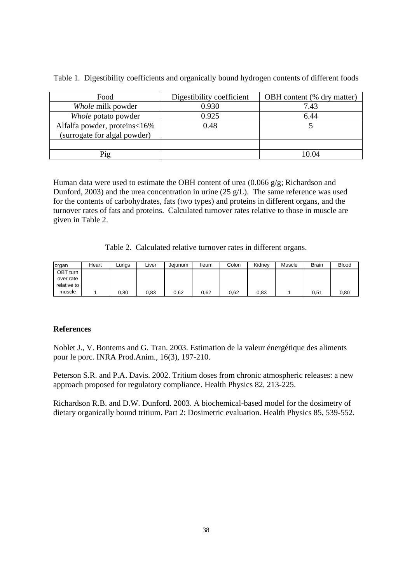| Food                         | Digestibility coefficient | OBH content (% dry matter) |
|------------------------------|---------------------------|----------------------------|
| Whole milk powder            | 0.930                     | 7.43                       |
| Whole potato powder          | 0.925                     | 6.44                       |
| Alfalfa powder, proteins<16% | 0.48                      |                            |
| (surrogate for algal powder) |                           |                            |
|                              |                           |                            |
| Pig                          |                           | 0.04                       |

Table 1. Digestibility coefficients and organically bound hydrogen contents of different foods

Human data were used to estimate the OBH content of urea (0.066 g/g; Richardson and Dunford, 2003) and the urea concentration in urine (25 g/L). The same reference was used for the contents of carbohydrates, fats (two types) and proteins in different organs, and the turnover rates of fats and proteins. Calculated turnover rates relative to those in muscle are given in Table 2.

Table 2. Calculated relative turnover rates in different organs.

| organ         | Heart | Lungs | ∟iver | Jeiunum | lleum | Colon | Kidnev | Muscle | <b>Brain</b> | <b>Blood</b> |
|---------------|-------|-------|-------|---------|-------|-------|--------|--------|--------------|--------------|
| OBT turn      |       |       |       |         |       |       |        |        |              |              |
| over rate     |       |       |       |         |       |       |        |        |              |              |
| relative to I |       |       |       |         |       |       |        |        |              |              |
| muscle        |       | 0.80  | 0,83  | 0,62    | 0,62  | 0,62  | 0,83   |        | 0,51         | 0.80         |

### **References**

Noblet J., V. Bontems and G. Tran. 2003. Estimation de la valeur énergétique des aliments pour le porc. INRA Prod.Anim., 16(3), 197-210.

Peterson S.R. and P.A. Davis. 2002. Tritium doses from chronic atmospheric releases: a new approach proposed for regulatory compliance. Health Physics 82, 213-225.

Richardson R.B. and D.W. Dunford. 2003. A biochemical-based model for the dosimetry of dietary organically bound tritium. Part 2: Dosimetric evaluation. Health Physics 85, 539-552.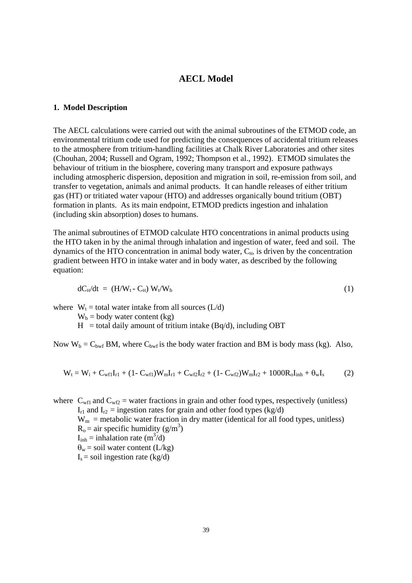### **AECL Model**

#### **1. Model Description**

The AECL calculations were carried out with the animal subroutines of the ETMOD code, an environmental tritium code used for predicting the consequences of accidental tritium releases to the atmosphere from tritium-handling facilities at Chalk River Laboratories and other sites (Chouhan, 2004; Russell and Ogram, 1992; Thompson et al., 1992). ETMOD simulates the behaviour of tritium in the biosphere, covering many transport and exposure pathways including atmospheric dispersion, deposition and migration in soil, re-emission from soil, and transfer to vegetation, animals and animal products. It can handle releases of either tritium gas (HT) or tritiated water vapour (HTO) and addresses organically bound tritium (OBT) formation in plants. As its main endpoint, ETMOD predicts ingestion and inhalation (including skin absorption) doses to humans.

The animal subroutines of ETMOD calculate HTO concentrations in animal products using the HTO taken in by the animal through inhalation and ingestion of water, feed and soil. The dynamics of the HTO concentration in animal body water,  $C_{H}$ , is driven by the concentration gradient between HTO in intake water and in body water, as described by the following equation:

$$
dC_H/dt = (H/W_t - C_H) W_t/W_b
$$
 (1)

where  $W_t =$  total water intake from all sources (L/d)

 $W_b =$  body water content (kg)

 $H =$  total daily amount of tritium intake (Bq/d), including OBT

Now  $W_b = C_{bwf}$  BM, where  $C_{bwf}$  is the body water fraction and BM is body mass (kg). Also,

$$
W_t = W_i + C_{wf1}I_{r1} + (1 - C_{wf1})W_mI_{r1} + C_{wf2}I_{r2} + (1 - C_{wf2})W_mI_{r2} + 1000R_0I_{inh} + \theta_wI_s
$$
 (2)

where  $C_{wf1}$  and  $C_{wf2}$  = water fractions in grain and other food types, respectively (unitless)  $I_{r1}$  and  $I_{r2}$  = ingestion rates for grain and other food types (kg/d)  $W_m$  = metabolic water fraction in dry matter (identical for all food types, unitless)  $R_o =$  air specific humidity (g/m<sup>3</sup>)  $I_{inh} =$  inhalation rate  $(m^3/d)$  $\theta_w$  = soil water content (L/kg)  $I_s$  = soil ingestion rate (kg/d)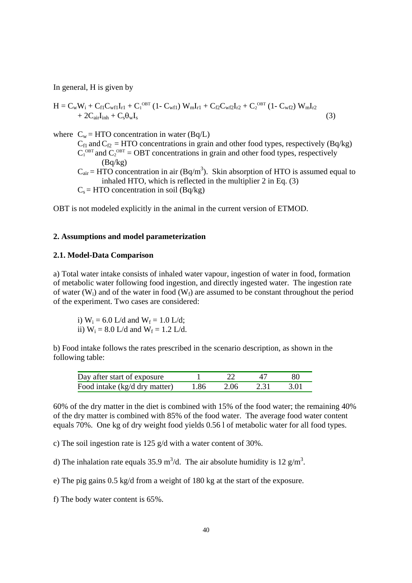In general, H is given by

 $H = C_w W_i + C_{f1} C_{w f1} I_{r1} + C_1^{\text{OBT}} (1 - C_{w f1}) W_m I_{r1} + C_{f2} C_{w f2} I_{r2} + C_2^{\text{OBT}} (1 - C_{w f2}) W_m I_{r2}$  $+ 2C_{\text{air}}I_{\text{inh}} + C_{\text{s}}\theta_{\text{w}}I_{\text{s}}$  (3) where  $C_w = HTO$  concentration in water (Bq/L)  $C_{f1}^{m}$  and  $C_{f2}$  = HTO concentrations in grain and other food types, respectively (Bq/kg)  $C_1^{\text{OBT}}$  and  $C_2^{\text{OBT}}$  = OBT concentrations in grain and other food types, respectively (Bq/kg)  $C_{air}$  = HTO concentration in air (Bq/m<sup>3</sup>). Skin absorption of HTO is assumed equal to inhaled HTO, which is reflected in the multiplier 2 in Eq. (3)  $C_s = HTO$  concentration in soil (Bq/kg)

OBT is not modeled explicitly in the animal in the current version of ETMOD.

#### **2. Assumptions and model parameterization**

### **2.1. Model-Data Comparison**

a) Total water intake consists of inhaled water vapour, ingestion of water in food, formation of metabolic water following food ingestion, and directly ingested water. The ingestion rate of water (W<sub>i</sub>) and of the water in food (W<sub>f</sub>) are assumed to be constant throughout the period of the experiment. Two cases are considered:

i)  $W_i = 6.0$  L/d and  $W_f = 1.0$  L/d; ii)  $W_i = 8.0$  L/d and  $W_f = 1.2$  L/d.

b) Food intake follows the rates prescribed in the scenario description, as shown in the following table:

| Day after start of exposure   |      |      |      | 80    |
|-------------------------------|------|------|------|-------|
| Food intake (kg/d dry matter) | 1.86 | 2.06 | 2.31 | -3.01 |

60% of the dry matter in the diet is combined with 15% of the food water; the remaining 40% of the dry matter is combined with 85% of the food water. The average food water content equals 70%. One kg of dry weight food yields 0.56 l of metabolic water for all food types.

c) The soil ingestion rate is 125 g/d with a water content of 30%.

d) The inhalation rate equals 35.9 m<sup>3</sup>/d. The air absolute humidity is 12 g/m<sup>3</sup>.

e) The pig gains 0.5 kg/d from a weight of 180 kg at the start of the exposure.

f) The body water content is 65%.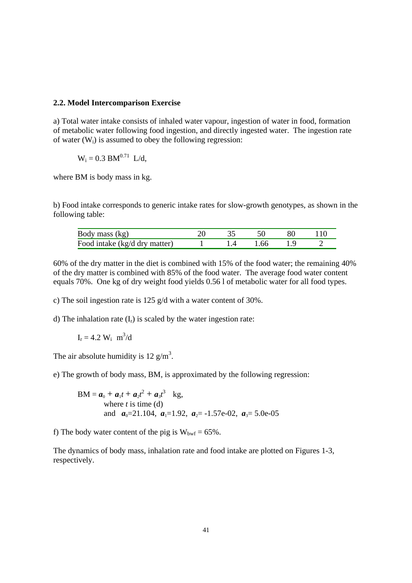### **2.2. Model Intercomparison Exercise**

a) Total water intake consists of inhaled water vapour, ingestion of water in food, formation of metabolic water following food ingestion, and directly ingested water. The ingestion rate of water  $(W_i)$  is assumed to obey the following regression:

$$
W_i = 0.3
$$
  $BM^{0.71}$  L/d,

where BM is body mass in kg.

b) Food intake corresponds to generic intake rates for slow-growth genotypes, as shown in the following table:

| Body mass (kg)                |  |       |  |
|-------------------------------|--|-------|--|
| Food intake (kg/d dry matter) |  | -1.66 |  |

60% of the dry matter in the diet is combined with 15% of the food water; the remaining 40% of the dry matter is combined with 85% of the food water. The average food water content equals 70%. One kg of dry weight food yields 0.56 l of metabolic water for all food types.

c) The soil ingestion rate is 125 g/d with a water content of 30%.

d) The inhalation rate  $(I_r)$  is scaled by the water ingestion rate:

 $I_r = 4.2 W_i m^3/d$ 

The air absolute humidity is 12  $g/m<sup>3</sup>$ .

e) The growth of body mass, BM, is approximated by the following regression:

 $BM = a_0 + a_1t + a_2t^2 + a_3t^3$  kg, where *t* is time (d) and  $a_0=21.104$ ,  $a_1=1.92$ ,  $a_2=1.57e-02$ ,  $a_3=5.0e-05$ 

f) The body water content of the pig is  $W_{\text{bwf}} = 65\%$ .

The dynamics of body mass, inhalation rate and food intake are plotted on Figures 1-3, respectively.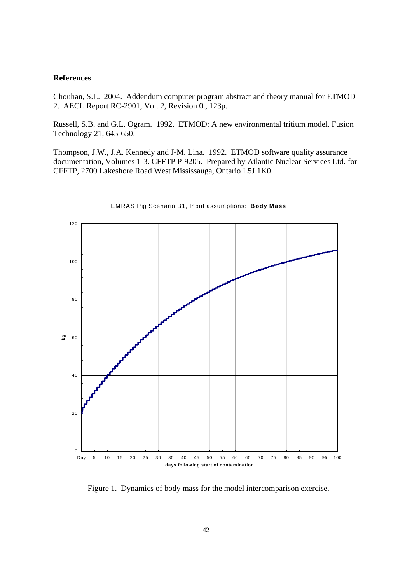#### **References**

Chouhan, S.L. 2004. Addendum computer program abstract and theory manual for ETMOD 2. AECL Report RC-2901, Vol. 2, Revision 0., 123p.

Russell, S.B. and G.L. Ogram. 1992. ETMOD: A new environmental tritium model. Fusion Technology 21, 645-650.

Thompson, J.W., J.A. Kennedy and J-M. Lina. 1992. ETMOD software quality assurance documentation, Volumes 1-3. CFFTP P-9205. Prepared by Atlantic Nuclear Services Ltd. for CFFTP, 2700 Lakeshore Road West Mississauga, Ontario L5J 1K0.



#### EMRAS Pig Scenario B1, Input assumptions: **Body Mass**

Figure 1.Dynamics of body mass for the model intercomparison exercise.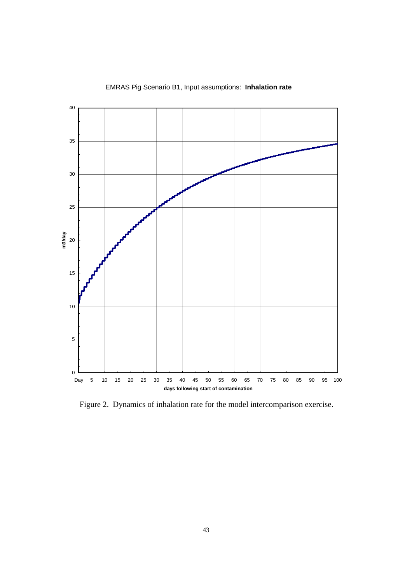

EMRAS Pig Scenario B1, Input assumptions: **Inhalation rate**

Figure 2.Dynamics of inhalation rate for the model intercomparison exercise.